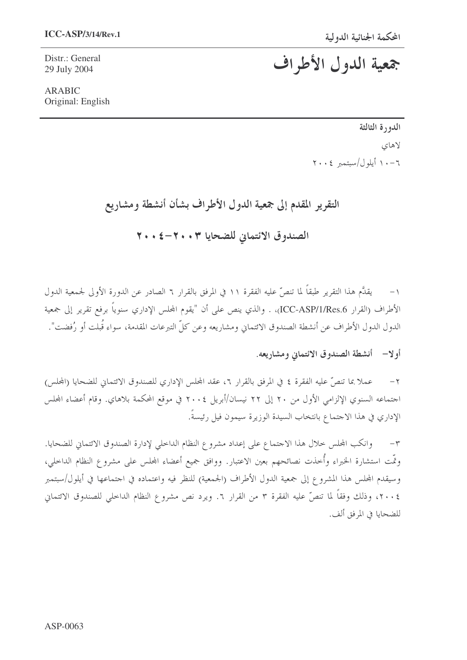Distr.: General 29 July 2004

# جمعية الدول الأطراف

**ARABIC** Original: English

## الدورة الثالثة لاهاي ٠٦-١٠ أيلول/سبتمبر ٢٠٠٤

## التقرير المقدم إلى جمعية الدول الأطراف بشأن أنشطة ومشاريع

الصندوق الائتماني للضحايا ٣٠٠٣-٤٠٤

١– يقدَّم هذا التقرير طبقاً لما تنصَّ عليه الفقرة ١١ في المرفق بالقرار ٦ الصادر عن الدورة الأولى لجمعية الدول الأطراف (القرار ICC-ASP/1/Res.6)، . والذي ينص على أن "يقوم المحلس الإداري سنوياً برفع تقرير إلى جمعية الدول الدول الأطراف عن أنشطة الصندوق الائتماني ومشاريعه وعن كلِّ التبرعات المقدمة، سواء قُبلت أو رُفضت".

#### أولا— أنشطة الصندوق الائتماني ومشاريعه.

عملا بما تنصُّ عليه الفقرة ٤ في المرفق بالقرار ٦، عقد المجلس الإداري للصندوق الائتماني للضحايا (المجلس)  $-1$ اجتماعه السنوي الإلزامي الأول من ٢٠ إلى ٢٢ نيسان/أبريل ٢٠٠٤ في موقع المحكمة بلاهاي. وقام أعضاء المجلس الإداري في هذا الاحتماع بانتخاب السيدة الوزيرة سيمون فيل رئيسةً.

وانكب المحلس حلال هذا الاحتماع على إعداد مشروع النظام الداحلي لإدارة الصندوق الائتماني للضحايا.  $-1$ وتَّمت استشارة الخبراء وأُخذت نصائحهم بعين الاعتبار. ووافق جميع أعضاء المحلس على مشروع النظام الداخلي، وسيقدم المجلس هذا المشروع إلى جمعية الدول الأطراف (الجمعية) للنظر فيه واعتماده في اجتماعها في أيلول/سبتمبر ٢٠٠٤، وذلك وفقاً لما تنصَّ عليه الفقرة ٣ من القرار ٦. ويرد نص مشروع النظام الداخلي للصندوق الائتماني للضحايا في المرفق ألف.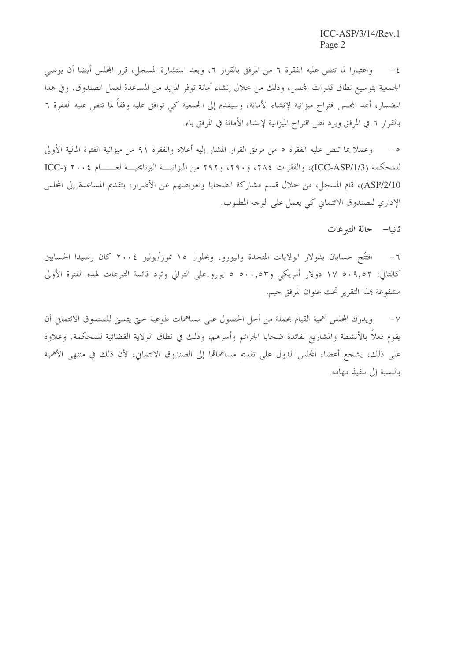٤– واعتبارا لما تنص عليه الفقرة ٦ من المرفق بالقرار ٦، وبعد استشارة المسجل، قرر المجلس أيضا أن يوصى الجمعية بتوسيع نطاق قدرات المجلس، وذلك من حلال إنشاء أمانة توفر المزيد من المساعدة لعمل الصندوق. وفي هذا المضمار، أعد المجلس اقتراح ميزانية لإنشاء الأمانة، وسيقدم إلى الجمعية كي توافق عليه وفقاً لما تنص عليه الفقرة ٦ بالقرار ٦. في المرفق ويرد نص اقتراح الميزانية لإنشاء الأمانة في المرفق باء.

وعملا بما تنص عليه الفقرة ٥ من مرفق القرار المشار إليه أعلاه والفقرة ٩١ من ميزانية الفترة المالية الأولى  $-\circ$ للمحكمة (ICC-ASP/1/3)، والفقرات ٢٨٤، و٢٩٠، و٢٩٢ من الميزانيسة البرنامجيسة لعــــــام ٢٠٠٤ (-ICC ASP/2/10)، قام المسجل، من خلال قسم مشاركة الضحايا وتعويضهم عن الأضرار، بتقديم المساعدة إلى المجلس الإداري للصندوق الائتماني كي يعمل على الوجه المطلوب.

ثانيا– حالة التبرعات

افتتُح حسابان بدولار الولايات المتحدة واليورو. وبحلول ١٥ تموز/يوليو ٢٠٠٤ كان رصيدا الحسابين  $-7$ كالتالي: ١٧ ه٩,٥٢ دولار أمريكي و٥٠٠,٥٣ د يورو على التوالي وترد قائمة التبرعات لهذه الفترة الأولى مشفوعة بمذا التقرير تحت عنوان المرفق جيم.

ويدرك المجلس أهمية القيام بحملة من أجل الحصول على مساهمات طوعية حتى يتسنى للصندوق الائتماني أن  $-\vee$ يقوم فعلاً بالأنشطة والمشاريع لفائدة ضحايا الجرائم وأسرهم، وذلك في نطاق الولاية القضائية للمحكمة. وعلاوة على ذلك، يشجع أعضاء المحلس الدول على تقديم مساهماهّا إلى الصندوق الائتماني، لأن ذلك في منتهى الأهمية بالنسبة إلى تنفيذ مهامه.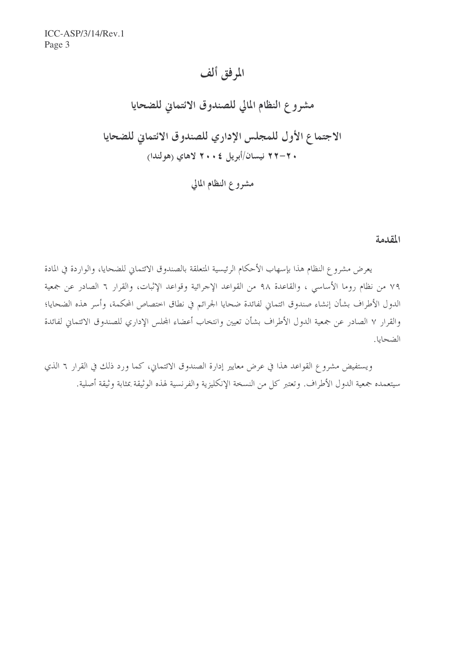## المرفق ألف

مشروع النظام المالي للصندوق الائتماني للضحايا الاجتماع الأول للمجلس الإداري للصندوق الائتماني للضحايا . ٢–٢٢ نيسان/أبريل ٢٠٠٤ لاهاي (هولندا) مشروع النظام المالي

المقدمة

يعرض مشروع النظام هذا بإسهاب الأحكام الرئيسية المتعلقة بالصندوق الائتماني للضحايا، والواردة في المادة ٧٩ من نظام روما الأساسي ، والقاعدة ٩٨ من القواعد الإجرائية وقواعد الإثبات، والقرار ٦ الصادر عن جمعية الدول الأطراف بشأن إنشاء صندوق ائتماني لفائدة ضحايا الجرائم في نطاق اختصاص المحكمة، وأسر هذه الضحايا؛ والقرار ٧ الصادر عن جمعية الدول الأطراف بشأن تعيين وانتخاب أعضاء المحلس الإداري للصندوق الائتماني لفائدة الضحايا.

ويستفيض مشروع القواعد هذا في عرض معايير إدارة الصندوق الائتماني، كما ورد ذلك في القرار ٦ الذي سيتعمده جمعية الدول الأطراف. وتعتبر كل من النسخة الإنكليزية والفرنسية لهذه الوثيقة بمثابة وثيقة أصلية.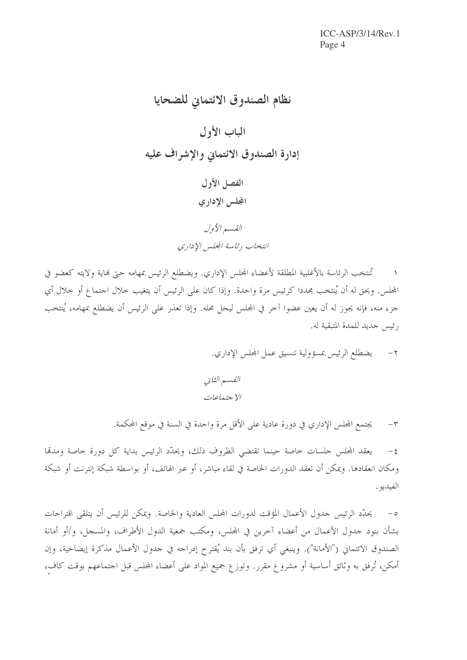نظام الصندوق الائتماني للضحايا الباب الأول إدارة الصندوق الائتماني والإشراف عليه الفصل الأول المجلس الإدارى القيسير الأول انتخاب رئاسة المحلس الإداري

تُنتخب الرئاسة بالأغلبية المطلقة لأعضاء المجلس الإداري. ويضطلع الرئيس بمهامه حتى فماية ولايته كعضو في المجلس. ويحق له أن يُنتخب مجددا كرئيس مرة واحدة. وإذا كان على الرئيس أن يتغيب حلال اجتماع أو حلال أي جزء منه، فإنه يجوز له أن يعين عضوا آخر في المجلس ليحل محله. وإذا تعذر على الرئيس أن يضطلع بمهامه، يُنتخب رئيس جديد للمدة المتبقية له.

٢ – يضطلع الرئيس بمسؤولية تنسيق عمل المحلس الإداري.

يجتمع المجلس الإداري في دورة عادية على الأقل مرة واحدة في السنة في موقع المحكمة.  $-1$ 

يعقد المجلس جلسات حاصة حينما تقتضي الظروف ذلك، ويحدِّد الرئيس بداية كل دورة حاصة ومدمَّا  $-\xi$ ومكان انعقادها. ويمكن أن تعقد الدورات الخاصة في لقاء مباشر، أو عبر الهاتف، أو بواسطة شبكة إنترنت أو شبكة الفيديو .

٥– يحدَّد الرئيس جدول الأعمال المؤقت لدورات المحلس العادية والخاصة. ويمكن للرئيس أن يتلقى اقتراحات بشأن بنود جدول الأعمال من أعضاء آحرين في المجلس، ومكتب جمعية الدول الأطراف، والمسجل، و/أو أمانة الصندوق الائتماني ("الأمانة"). وينبغي أي ترفق بأن بند يُقترح إدراجه في جدول الأعمال مذكرة إيضاحية، وإن أمكن، تُرفق به وثائق أساسية أو مشروع مقرر. وتوزع جميع المواد على أعضاء المحلس قبل احتماعهم بوقت كاف،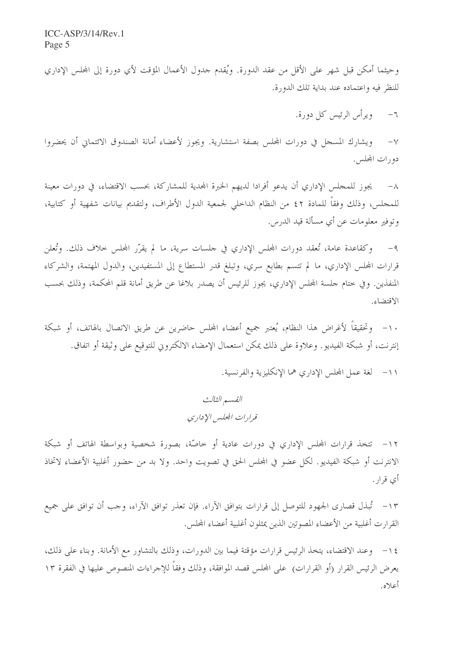وحيثما أمكن قبل شهر على الأقل من عقد الدورة. ويُقدم حدول الأعمال المؤقت لأي دورة إلى المحلس الإداري للنظر فيه واعتماده عند بداية تلك الدورة.

> ويرأس الرئيس كل دورة.  $-7$

ويشارك المسجل في دورات المجلس بصفة استشارية. ويجوز لأعضاء أمانة الصندوق الائتماني أن يحضروا  $-\vee$ دورات المجلس.

يجوز للمجلس الإداري أن يدعو أفرادا لديهم الخبرة المجدية للمشاركة، بحسب الاقتضاء، في دورات معينة  $-\Lambda$ للمحلس، وذلك وفقاً للمادة ٤٢ من النظام الداحلي لجمعية الدول الأطراف، ولتقديم بيانات شفهية أو كتابية، وتوفير معلومات عن أي مسألة قيد الدرس.

٩- وكقاعدة عامة، تُعقد دورات المجلس الإداري في حلسات سرية، ما لم يقرَّر المجلس حلاف ذلك. وتُعلن قرارات المحلس الإداري، ما لم تتسم بطابع سري، وتبلغ قدر المستطاع إلى المستفيدين، والدول المهتمة، والشركاء المنفذين. وفي ختام حلسة المحلس الإداري، يجوز للرئيس أن يصدر بلاغا عن طريق أمانة قلم المحكمة، وذلك بحسب الاقتضاء.

١٠– وتحقيقاً لأغراض هذا النظام، يُعتبر جميع أعضاء المحلس حاضرين عن طريق الاتصال بالهاتف، أو شبكة إنترنت، أو شبكة الفيديو . وعلاوة على ذلك يمكن استعمال الإمضاء الالكتروني للتوقيع على وثيقة أو اتفاق.

١١- لغة عمل المحلس الإداري هما الإنكليزية والفرنسية.

القسم الثالث قرارات المجليس الإ داري

١٢– تتخذ قرارات المجلس الإداري في دورات عادية أو خاصَّة، بصورة شخصية وبواسطة الهاتف أو شبكة الانترنت أو شبكة الفيديو . لكل عضو في المجلس الحق في تصويت واحد. ولا بد من حضور أغلبية الأعضاء لاتخاذ أي قرار .

١٣ – تُبذل قصارى الجهود للتوصل إلى قرارات بتوافق الآراء. فإن تعذر توافق الآراء، وجب أن توافق على جميع القرارت أغلبية من الأعضاء المصوتين الذين يمثلون أغلبية أعضاء المحلس.

١٤ – وعند الاقتضاء، يتخذ الرئيس قرارات مؤقتة فيما بين الدورات، وذلك بالتشاور مع الأمانة. وبناء على ذلك، يعرض الرئيس القرار (أو القرارات) على المجلس قصد الموافقة، وذلك وفقاً للإجراءات المنصوص عليها في الفقرة ١٣ أعلاه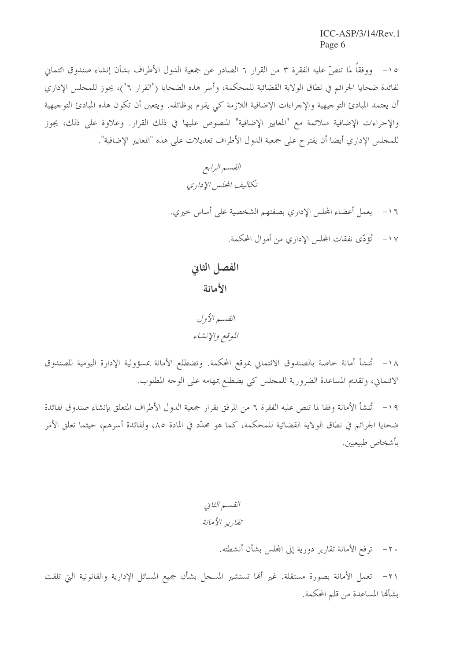١٥- ووفقاً لما تنصَّ عليه الفقرة ٣ من القرار ٦ الصادر عن جمعية الدول الأطراف بشأن إنشاء صندوق ائتماني لفائدة ضحايا الجرائم في نطاق الولاية القضائية للمحكمة، وأسر هذه الضحايا ("القرار ٦")، يجوز للمجلس الإداري أن يعتمد المبادئ التوجيهية والإجراءات الإضافية اللازمة كي يقوم بوظائفه. ويتعين أن تكون هذه المبادئ التوجيهية والإجراءات الإضافية متلائمة مع "المعايير الإضافية" المنصوص عليها في ذلك القرار. وعلاوة على ذلك، يجوز للمحلس الإداري أيضا أن يقترح على جمعية الدول الأطراف تعديلات على هذه "المعايير الإضافية".

> القسم الرابع تكاليف المجلس الإداري

١٦- يعمل أعضاء المحلس الإداري بصفتهم الشخصية على أساس حيري.

١٧- تُؤدِّي نفقات المجلس الإداري من أموال المحكمة.

الفصل الثاني الأمانة

القسير الأول الموقع والإنشاء

١٨ - تُنشأ أمانة خاصة بالصندوق الائتماني بموقع المحكمة. وتضطلع الأمانة بمسؤولية الإدارة اليومية للصندوق الائتماني، وتقديم المساعدة الضرورية للمجلس كي يضطلع بمهامه على الوجه المطلوب.

١٩ – تُنشأ الأمانة وفقا لما تنص عليه الفقرة ٦ من المرفق بقرار جمعية الدول الأطراف المتعلق بإنشاء صندوق لفائدة ضحايا الجرائم في نطاق الولاية القضائية للمحكمة، كما هو محدّد في المادة ٨٥، ولفائدة أسرهم، حيثما تعلق الأمر بأشخاص طبيعيين.

> القسم الثاني تقان بر الأمانة

> > ٢٠ – ترفع الأمانة تقارير دورية إلى المحلس بشأن أنشطته.

٢١– تعمل الأمانة بصورة مستقلة. غير ألها تستشير المسجل بشأن جميع المسائل الإدارية والقانونية التي تلقت بشأنها المساعدة من قلم المحكمة.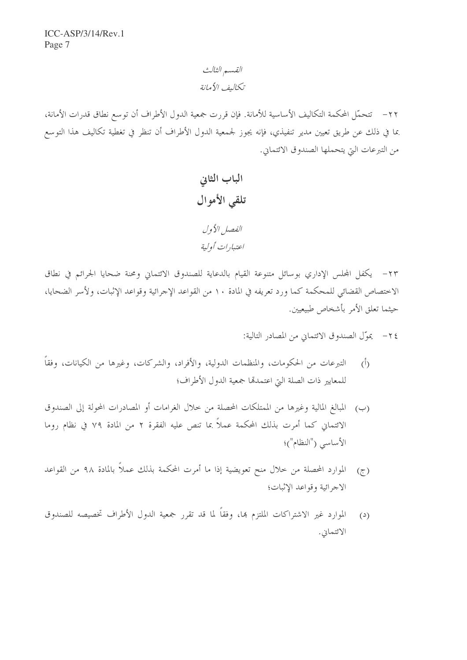### القسم الثالث تكاليف الأمانة

٢٢– تتحمَّل المحكمة التكاليف الأساسية للأمانة. فإن قررت جمعية الدول الأطراف أن توسع نطاق قدرات الأمانة، بما في ذلك عن طريق تعيين مدير تنفيذي، فإنه يجوز لجمعية الدول الأطراف أن تنظر في تغطية تكاليف هذا التوسع من التبرعات التي يتحملها الصندوق الائتماني.

٢٣- يكفل المحلس الإداري بوسائل متنوعة القيام بالدعاية للصندوق الائتماني ومحنة ضحايا الجرائم في نطاق الاختصاص القضائي للمحكمة كما ورد تعريفه في المادة ١٠ من القواعد الإجرائية وقواعد الإثبات، ولأسر الضحايا، حيثما تعلق الأمر بأشخاص طبيعيين.

٢٤ - يموّل الصندوق الائتماني من المصادر التالية:

- التبرعات من الحكومات، والمنظمات الدولية، والأفراد، والشركات، وغيرها من الكيانات، وفقاً  $(\tilde{I})$ للمعايير ذات الصلة التي اعتمدتما جمعية الدول الأطراف؛
- (ب) المبالغ المالية وغيرها من الممتلكات المحصلة من حلال الغرامات أو المصادرات المحولة إلى الصندوق الائتماني كما أمرت بذلك المحكمة عملاً بما تنص عليه الفقرة ٢ من المادة ٧٩ في نظام روما الأساسى ("النظام")؛
- الموارد المحصلة من خلال منح تعويضية إذا ما أمرت المحكمة بذلك عملاً بالمادة ٩٨ من القواعد  $(7)$ الاجرائية وقواعد الإثبات؛
- الموارد غير الاشتراكات الملتزم بما، وفقاً لما قد تقرر جمعية الدول الأطراف تخصيصه للصندوق  $(2)$ الائتماني.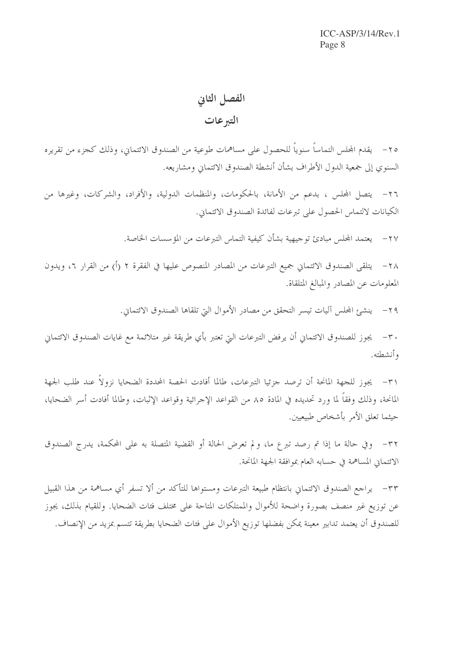# الفصل الثاني التبرعات

٢٥ – \_ يقدم الجلس التماساً سنوياً للحصول على مساهمات طوعية من الصندوق الائتماني، وذلك كجزء من تقريره السنوى إلى جمعية الدول الأطراف بشأن أنشطة الصندوق الائتماني ومشاريعه.

٢٦– يتصل المجلس ، بدعم من الأمانة، بالحكومات، والمنظمات الدولية، والأفراد، والشركات، وغيرها من الكيانات لالتماس الحصول على تبرعات لفائدة الصندوق الائتماني.

> يعتمد المجلس مبادئ توجيهية بشأن كيفية التماس التبرعات من المؤسسات الخاصة.  $-\tau v$

يتلقى الصندوق الائتماني جميع التبرعات من المصادر المنصوص عليها في الفقرة ٢ (أ) من القرار ٦، ويدون  $-\tau \wedge$ المعلومات عن المصادر والمبالغ المتلقاة.

٢٩ - ينشئ المجلس آليات تيسر التحقق من مصادر الأموال التي تلقاها الصندوق الائتماني.

٣٠ – يجوز للصندوق الائتماني أن يرفض التبرعات التي تعتبر بأي طريقة غير متلائمة مع غايات الصندوق الائتماني و أنشطته.

٣١- يجوز للجهة المانحة أن ترصد جزئيا التبرعات، طالما أفادت الحصة المحددة الضحايا نزولاً عند طلب الجهة المانحة، وذلك وفقاً لما ورد تحديده في المادة ٨٥ من القواعد الإجرائية وقواعد الإثبات، وطالما أفادت أسر الضحايا، حيثما تعلق الأمر بأشخاص طبيعيين.

٣٢– وفي حالة ما إذا تم رصد تبرع ما، ولم تعرض الحالة أو القضية المتصلة به على المحكمة، يدرج الصندوق الائتماني المساهمة في حسابه العام بموافقة الجهة المانحة.

٣٣– يراجع الصندوق الائتماني بانتظام طبيعة التبرعات ومستواها للتأكد من ألا تسفر أي مساهمة من هذا القبيل عن توزيع غير منصف بصورة واضحة للأموال والممتلكات المتاحة على مختلف فئات الضحايا. وللقيام بذلك، يجوز للصندوق أن يعتمد تدابير معينة يمكن بفضلها توزيع الأموال على فئات الضحايا بطريقة تتسم بمزيد من الإنصاف.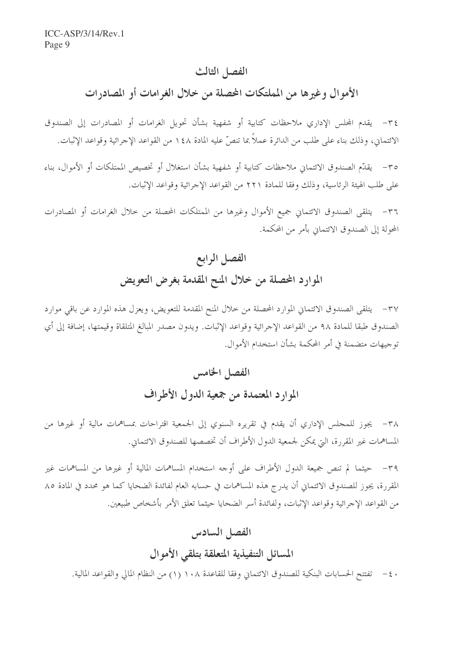#### الفصل الثالث

الأموال وغيرها من المملتكات المحصلة من خلال الغرامات أو المصادرات

٣٤- يقدم المحلس الإداري ملاحظات كتابية أو شفهية بشأن تحويل الغرامات أو المصادرات إلى الصندوق الائتماني، وذلك بناء على طلب من الدائرة عملاً بما تنصَّ عليه المادة ١٤٨ من القواعد الإجرائية وقواعد الإثبات.

٣٥ – يقدِّم الصندوق الائتماني ملاحظات كتابية أو شفهية بشأن استغلال أو تخصيص الممتلكات أو الأموال، بناء على طلب الهيئة الرئاسية، وذلك وفقًا للمادة ٢٢١ من القواعد الإجرائية وقواعد الإثبات.

٣٦– يتلقى الصندوق الائتماني جميع الأموال وغيرها من الممتلكات المحصلة من خلال الغرامات أو المصادرات المحولة إلى الصندوق الائتماني بأمر من المحكمة.

# الفصل الرابع الموارد المحصلة من خلال المنح المقدمة بغرض التعويض

٣٧- يتلقى الصندوق الائتماني الموارد المحصلة من حلال المنح المقدمة للتعويض، ويعزل هذه الموارد عن باقى موارد الصندوق طبقا للمادة ٩٨ من القواعد الإجرائية وقواعد الإثبات. ويدون مصدر المبالغ المتلقاة وقيمتها، إضافة إلى أي توجيهات متضمنة في أمر المحكمة بشأن استخدام الأموال.

# الفصل الخامس الموارد المعتمدة من جمعية الدول الأطراف

٣٨– يجوز للمجلس الإداري أن يقدم في تقريره السنوي إلى الجمعية اقتراحات بمساهمات مالية أو غيرها من المساهمات غير المقررة، التي يمكن لجمعية الدول الأطراف أن تخصصها للصندوق الائتماني.

٣٩– حيثما لم تنص جميعة الدول الأطراف على أوجه استخدام المساهمات المالية أو غيرها من المساهمات غير المقررة، يجوز للصندوق الائتماني أن يدرج هذه المساهمات في حسابه العام لفائدة الضحايا كما هو محدد في المادة ٨٥ من القواعد الإجرائية وقواعد الإثبات، ولفائدة أسر الضحايا حيثما تعلق الأمر بأشخاص طبيعين.

# الفصل السادس المسائل التنفيذية المتعلقة بتلقى الأموال

· ٤ – تفتتح الحسابات البنكية للصندوق الائتماني وفقا للقاعدة ١٠٨ (١) من النظام المالي والقواعد المالية.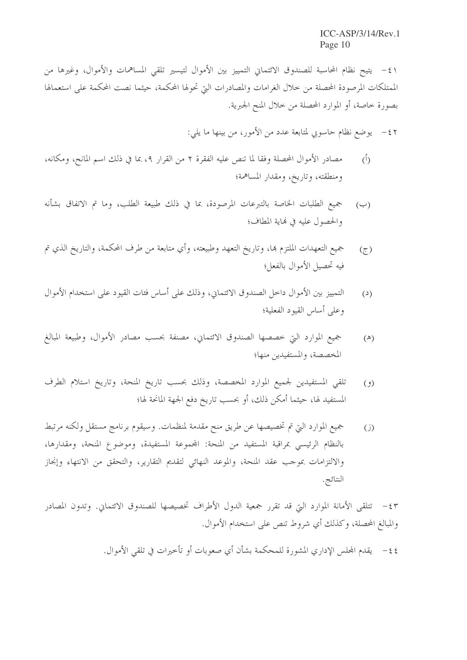٤١ - يتيح نظام المحاسبة للصندوق الائتماني التمييز بين الأموال لتيسير تلقى المساهمات والأموال، وغيرها من الممتلكات المرصودة المحصلة من خلال الغرامات والمصادرات التي تحولها المحكمة، حيثما نصت المحكمة على استعمالها بصورة خاصة، أو الموارد المحصلة من خلال المنح الجبرية.

> يوضع نظام حاسوبي لمتابعة عدد من الأمور، من بينها ما يلي:  $-\xi$

- مصادر الأموال المحصلة وفقا لما تنص عليه الفقرة ٢ من القرار ٤، بما في ذلك اسم المانح، ومكانه،  $\hat{(\cdot)}$ ومنطقته، وتاريخ، ومقدار المساهمة؛
- جميع الطلبات الخاصة بالتبرعات المرصودة، بما في ذلك طبيعة الطلب، وما تم الاتفاق بشأنه  $(\hookrightarrow)$ والحصول عليه في نهاية المطاف؛
- جميع التعهدات الملتزم بما، وتاريخ التعهد وطبيعته، وأي متابعة من طرف المحكمة، والتاريخ الذي تم  $(5)$ فيه تحصيل الأموال بالفعل؛
- التمييز بين الأموال داخل الصندوق الائتماني، وذلك على أساس فئات القيود على استخدام الأموال  $(2)$ وعلى أساس القيود الفعلية؛
- جميع الموارد التي خصصها الصندوق الائتماني، مصنفة بحسب مصادر الأموال، وطبيعة المبالغ  $(\mathbb{A})$ المخصصة، والمستفيدين منها؛
- تلقى المستفيدين لجميع الموارد المخصصة، وذلك بحسب تاريخ المنحة، وتاريخ استلام الطرف  $(9)$ المستفيد لها، حيثما أمكن ذلك، أو بحسب تاريخ دفع الجهة المانحة لها؛
- جميع الموارد التي تم تخصيصها عن طريق منح مقدمة لمنظمات. وسيقوم برنامج مستقل ولكنه مرتبط  $(i)$ بالنظام الرئيسي بمراقبة المستفيد من المنحة: المجموعة المستفيدة، وموضوع المنحة، ومقدارها، والالتزامات بموحب عقد المنحة، والموعد النهائي لتقديم التقارير، والتحقق من الانتهاء وإنجاز النتائج.

٤٣ - تتلقى الأمانة الموارد التي قد تقرر جمعية الدول الأطراف تخصيصها للصندوق الائتماني. وتدون المصادر والمبالغ المحصلة، وكذلك أي شروط تنص على استخدام الأموال.

٤٤ – يقدم المجلس الإداري المشورة للمحكمة بشأن أي صعوبات أو تأخيرات في تلقى الأموال.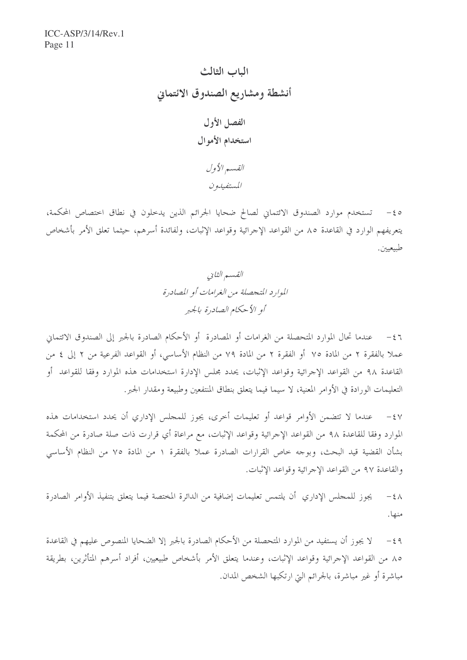الباب الثالث أنشطة ومشاريع الصندوق الائتماني الفصل الأول استخدام الأموال القسير الأول المستفيدون

0 ٤- تستخدم موارد الصندوق الائتماني لصالح ضحايا الجرائم الذين يدخلون في نطاق اختصاص المحكمة، يتعريفهم الوارد في القاعدة ٨٥ من القواعد الإجرائية وقواعد الإثبات، ولفائدة أسرهم، حيثما تعلق الأمر بأشخاص طبيعيين.

٤٦ - عندما تحال الموارد المتحصلة من الغرامات أو المصادرة أو الأحكام الصادرة بالحبر إلى الصندوق الائتماني عملا بالفقرة ٢ من المادة ٧٥ أو الفقرة ٢ من المادة ٧٩ من النظام الأساسي، أو القواعد الفرعية من ٢ إلى ٤ من القاعدة ٩٨ من القواعد الإجرائية وقواعد الإثبات، يحدد مجلس الإدارة استخدامات هذه الموارد وفقا للقواعد أو التعليمات الورادة في الأوامر المعنية، لا سيما فيما يتعلق بنطاق المنتفعين وطبيعة ومقدار الجبر .

عندما لا تتضمن الأوامر قواعد أو تعليمات أُخرى، يجوز للمجلس الإداري أن يحدد استخدامات هذه  $-5y$ الموارد وفقا للقاعدة ٩٨ من القواعد الإجرائية وقواعد الإثبات، مع مراعاة أي قرارت ذات صلة صادرة من المحكمة بشأن القضية قيد البحث، وبوجه حاص القرارات الصادرة عملاً بالفقرة ١ من المادة ٧٥ من النظام الأساسي والقاعدة ٩٧ من القواعد الإجرائية وقواعد الإثبات.

يجوز للمحلس الإداري أن يلتمس تعليمات إضافية من الدائرة المختصة فيما يتعلق بتنفيذ الأوامر الصادرة  $-\xi \wedge$ منها.

لا يجوز أن يستفيد من الموارد المتحصلة من الأحكام الصادرة بالجبر إلا الضحايا المنصوص عليهم في القاعدة  $-\xi$  9 ٨٥ من القواعد الإجرائية وقواعد الإثبات، وعندما يتعلق الأمر بأشخاص طبيعيين، أفراد أسرهم المتأثرين، بطريقة مباشرة أو غير مباشرة، بالجرائم التي ارتكبها الشخص المدان.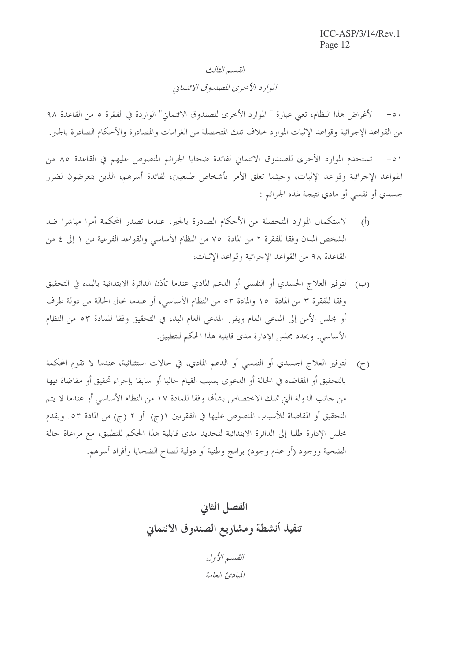## القسم الثالث الموارد الأحرى للصندوق الائتماني

٥٠ – لأغراض هذا النظام، تعني عبارة " الموارد الأخرى للصندوق الائتماني" الواردة في الفقرة ٥ من القاعدة ٩٨ من القواعد الإجرائية وقواعد الإثبات الموارد حلاف تلك المتحصلة من الغرامات والمصادرة والأحكام الصادرة بالجبر .

٥١ – تستخدم الموارد الأخرى للصندوق الائتماني لفائدة ضحايا الجرائم المنصوص عليهم في القاعدة ٨٥ من القواعد الإجرائية وقواعد الإثبات، وحيثما تعلق الأمر بأشخاص طبيعيين، لفائدة أسرهم، الذين يتعرضون لضرر جسدي أو نفسي أو مادي نتيجة لهذه الجرائم :

- لاستكمال الموارد المتحصلة من الأحكام الصادرة بالجبر، عندما تصدر المحكمة أمرا مباشرا ضد  $\hat{(\cdot)}$ الشخص المدان وفقا للفقرة ٢ من المادة ٧٥ من النظام الأساسي والقواعد الفرعية من ١ إلى ٤ من القاعدة ٩٨ من القواعد الإجرائية وقواعد الإثبات،
- (ب) لتوفير العلاج الجسدي أو النفسي أو الدعم المادي عندما تأذن الدائرة الابتدائية بالبدء في التحقيق وفقا للفقرة ٣ من المادة ١٥ والمادة ٥٣ من النظام الأساسي، أو عندما تحال الحالة من دولة طرف أو مجلس الأمن إلى المدعى العام ويقرر المدعى العام البدء في التحقيق وفقا للمادة ٥٣ من النظام الأساسي. ويحدد مجلس الإدارة مدى قابلية هذا الحكم للتطبيق.
- (ج) لتوفير العلاج الجسدي أو النفسي أو الدعم المادي، في حالات استثنائية، عندما لا تقوم المحكمة بالتحقيق أو المقاضاة في الحالة أو الدعوى بسبب القيام حاليا أو سابقا بإجراء تحقيق أو مقاضاة فيها من جانب الدولة التيّ تملك الاختصاص بشأهًا وفقا للمادة ١٧ من النظام الأساسي أو عندما لا يتم التحقيق أو المقاضاة للأسباب المنصوص عليها في الفقرتين ١(ج) أو ٢ (ج) من المادة ٥٣. ويقدم مجلس الإدارة طلبا إلى الدائرة الابتدائية لتحديد مدى قابلية هذا الحكم للتطبيق، مع مراعاة حالة الضحية ووجود (أو عدم وجود) برامج وطنية أو دولية لصالح الضحايا وأفراد أسرهم.

الفصل الثاني تنفيذ أنشطة ومشاريع الصندوق الائتماني

القسير الأول المبادئ العامة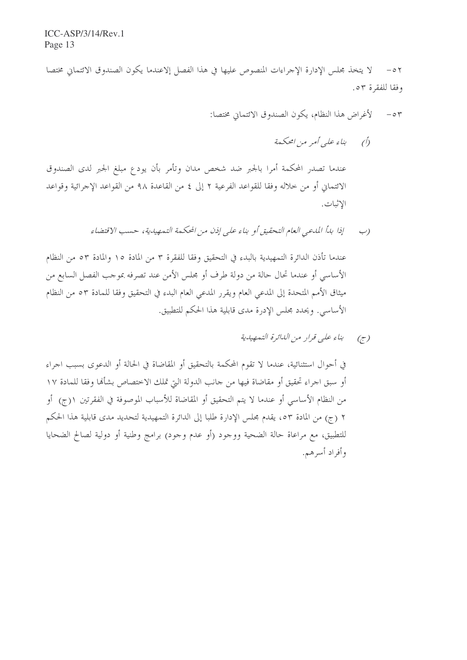٥٢ – لا يتخذ مجلس الإدارة الإجراءات المنصوص عليها في هذا الفصل إلاعندما يكون الصندوق الائتماني مختصا وفقا للفقرة ٥٣.

> لأغراض هذا النظام، يكون الصندوق الائتماني مختصا:  $\circ$   $\tau$

> > (أ) بناء علي أمر من امحكمة

عندما تصدر المحكمة أمرا بالجبر ضد شخص مدان وتأمر بأن يودع مبلغ الجبر لدى الصندوق الائتماني أو من خلاله وفقا للقواعد الفرعية ٢ إلى ٤ من القاعدة ٩٨ من القواعد الإجرائية وقواعد الاثبات.

> إذا بدأ المدعبي العام التحقيق أو بناء على إذن من المحكمة التمهيدية، حسب الاقتضاء  $\cup$ )

عندما تأذن الدائرة التمهيدية بالبدء في التحقيق وفقا للفقرة ٣ من المادة ١٥ والمادة ٥٣ من النظام الأساسي أو عندما تحال حالة من دولة طرف أو مجلس الأمن عند تصرفه بموجب الفصل السابع من ميثاق الأمم المتحدة إلى المدعى العام ويقرر المدعى العام البدء في التحقيق وفقا للمادة ٥٣ من النظام الأساسي. ويحدد مجلس الإدرة مدى قابلية هذا الحكم للتطبيق.

(ج) بناء على قرار من الدائرة التمهيدية

في أحوال استثنائية، عندما لا تقوم المحكمة بالتحقيق أو المقاضاة في الحالة أو الدعوى بسبب اجراء أو سبق اجراء تحقيق أو مقاضاة فيها من جانب الدولة التي تملك الاختصاص بشأهًا وفقا للمادة ١٧ من النظام الأساسي أو عندما لا يتم التحقيق أو المقاضاة للأسباب الموصوفة في الفقرتين ١(ج) أو ٢ (ج) من المادة ٥٣، يقدم مجلس الإدارة طلبا إلى الدائرة التمهيدية لتحديد مدى قابلية هذا الحكم للتطبيق، مع مراعاة حالة الضحية ووجود (أو عدم وجود) برامج وطنية أو دولية لصالح الضحايا وأفراد أسرهم.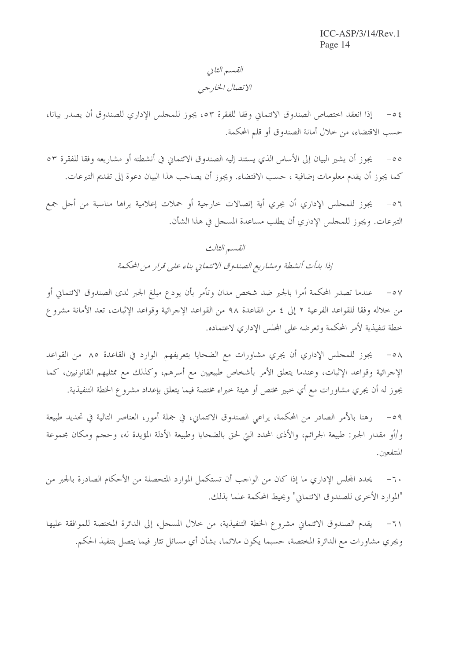### القسم الثاني الاتصال الخارجي

إذا انعقد اختصاص الصندوق الائتماني وفقا للفقرة ٥٣، يجوز للمحلس الإداري للصندوق أن يصدر بيانا،  $-05$ حسب الاقتضاء، من خلال أمانة الصندوق أو قلم المحكمة.

يجوز أن يشير البيان إلى الأساس الذي يستند إليه الصندوق الائتماني في أنشطته أو مشاريعه وفقا للفقرة ٥٣  $-\circ \circ$ كما يجوز أن يقدم معلومات إضافية ، حسب الاقتضاء. ويجوز أن يصاحب هذا البيان دعوة إلى تقديم التبرعات.

يجوز للمحلس الإداري أن يجري أية إتصالات حارجية أو حملات إعلامية يراها مناسبة من أجل جمع  $-01$ التبرعات. ويجوز للمجلس الإداري أن يطلب مساعدة المسجل في هذا الشأن.

# القسم الثالث إذا بدأت أنشطة ومشاريع الصندوق الائتماني بناء على قرار من المحكمة

عندما تصدر المحكمة أمرا بالجبر ضد شخص مدان وتأمر بأن يودع مبلغ الجبر لدى الصندوق الائتماني أو  $-\circ \vee$ من خلاله وفقا للقواعد الفرعية ٢ إلى ٤ من القاعدة ٩٨ من القواعد الإجرائية وقواعد الإثبات، تعد الأمانة مشروع خطة تنفيذية لأمر المحكمة وتعرضه على المحلس الإداري لاعتماده.

يجوز للمجلس الإداري أن يجري مشاورات مع الضحايا بتعريفهم الوارد في القاعدة ٨٥ من القواعد  $-\circ \wedge$ الإحرائية وقواعد الإثبات، وعندما يتعلق الأمر بأشخاص طبيعيين مع أسرهم، وكذلك مع ممثليهم القانونيين، كما يجوز له أن يجري مشاورات مع أي حبير مختص أو هيئة خبراء مختصة فيما يتعلق بإعداد مشروع الخطة التنفيذية.

رهنا بالأمر الصادر من المحكمة، يراعى الصندوق الائتماني، في جملة أمور، العناصر التالية في تحديد طبيعة  $-09$ و/أو مقدار الجبر: طبيعة الجرائم، والأذى المحدد التي لحق بالضحايا وطبيعة الأدلة المؤيدة له، وحجم ومكان مجموعة المنتفعين.

يحدد المجلس الإداري ما إذا كان من الواحب أن تستكمل الموارد المتحصلة من الأحكام الصادرة بالجبر من  $-7.$ "الموارد الأخرى للصندوق الائتماني" ويحيط المحكمة علما بذلك.

يقدم الصندوق الائتماني مشروع الخطة التنفيذية، من خلال المسجل، إلى الدائرة المختصة للموافقة عليها  $-7)$ ويجري مشاورات مع الدائرة المختصة، حسبما يكون ملائما، بشأن أي مسائل تثار فيما يتصل بتنفيذ الحكم.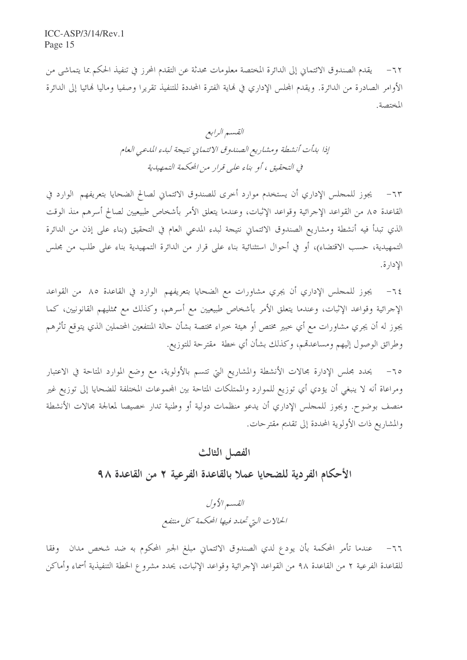٦٢– يقدم الصندوق الائتماني إلى الدائرة المختصة معلومات محدثة عن التقدم المحرز في تنفيذ الحكم بما يتماشى من الأوامر الصادرة من الدائرة. ويقدم المجلس الإداري في نماية الفترة المحددة للتنفيذ تقريرا وصفيا وماليا فمائيا إلى الدائرة المختصة.

٦٣- يجوز للمجلس الإداري أن يستخدم موارد أخرى للصندوق الائتماني لصالح الضحايا بتعريفهم الوارد في القاعدة ٨٥ من القواعد الإجرائية وقواعد الإثبات، وعندما يتعلق الأمر بأشخاص طبيعيين لصالح أسرهم منذ الوقت الذي تبدأ فيه أنشطة ومشاريع الصندوق الائتماني نتيجة لبدء المدعى العام في التحقيق (بناء على إذن من الدائرة التمهيدية، حسب الاقتضاء)، أو في أحوال استثنائية بناء على قرار من الدائرة التمهيدية بناء على طلب من مجلس الإدارة.

يجوز للمجلس الإداري أن يجري مشاورات مع الضحايا بتعريفهم الوارد في القاعدة ٨٥ من القواعد  $-75$ الإجرائية وقواعد الإثبات، وعندما يتعلق الأمر بأشخاص طبيعيين مع أسرهم، وكذلك مع ممثليهم القانونيين، كما يجوز له أن يجري مشاورات مع أي حبير مختص أو هيئة حبراء مختصة بشأن حالة المنتفعين المحتملين الذي يتوقع تأثرهم وطرائق الوصول إليهم ومساعدقم، وكذلك بشأن أي خطة ً مقترحة للتوزيع.

٦٥– يحدد مجلس الإدارة مجالات الأنشطة والمشاريع التي تتسم بالأولوية، مع وضع الموارد المتاحة في الاعتبار ومراعاة أنه لا ينبغي أن يؤدي أي توزيع للموارد والممتلكات المتاحة بين المحموعات المختلفة للضحايا إلى توزيع غير منصف بوضوح. ويجوز للمجلس الإداري أن يدعو منظمات دولية أو وطنية تدار خصيصا لمعالجة مجالات الأنشطة والمشاريع ذات الأولوية المحددة إلى تقديم مقتر حات.

### الفصل الثالث

الأحكام الفر دية للضحايا عملا بالقاعدة الفرعية ٢ من القاعدة ٩٨

القسير الأول الحالات التي تحلدد فيها المحكمة كل منتفع

٦٦- عندما تأمر المحكمة بأن يودع لدي الصندوق الائتماني مبلغ الجبر المحكوم به ضد شخص مدان وفقا للقاعدة الفرعية ٢ من القاعدة ٩٨ من القواعد الإجرائية وقواعد الإثبات، يحدد مشروع الخطة التنفيذية أسماء وأماكن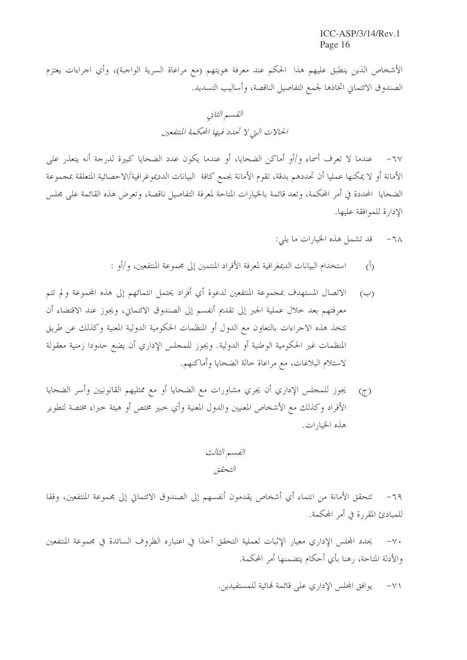الأشخاص الذين ينطبق عليهم هذا الحكم عند معرفة هويتهم (مع مراعاة السرية الواجبة)، وأي اجراءات يعتزم الصندوق الائتماني اتخاذها لجمع التفاصيل الناقصة، وأساليب التسديد.

عندما لا تعرف أسماء و/أو أماكن الضحايا، أو عندما يكون عدد الضحايا كبيرة لدرجة أنه يتعذر على  $-7V$ الأمانة أو لا يمكنها عمليا أن تحددهم بدقة، تقوم الأمانة بجمع كافة البيانات الدديموغرافية/الاحصائية المتعلقة بمجموعة الضحايا ۖ المحددة في أمر المحكمة، وتعد قائمة بالخيارات المتاحة لمعرفة التفاصيل ناقصة، وتعرض هذه القائمة على مجلس الإدارة للموافقة عليها.

- قد تشمل هذه الخيارات ما يلي:  $-7<sub>\lambda</sub>$
- استخدام البيانات الديمغرافية لمعرفة الأفراد المنتمين إلى مجموعة المنتفعين، و/أو :  $(\tilde{I})$
- الاتصال المستهدف بمجموعة المنتفعين لدعوة أي أفراد يحتمل انتمائهم إلى هذه المحموعة ولم تتم  $(\hookrightarrow)$ معرفتهم بعد حلال عملية الجبر إلى تقديم أنفسم إلى الصندوق الائتماني، ويجوز عند الاقتضاء أن تتخذ هذه الاجراءات بالتعاون مع الدول أو المنظمات الحكومية الدولية المعنية وكذلك عن طريق المنظمات غير الحكومية الوطنية أو الدولية. ويجوز للمحلس الإداري أن يضع حدودا زمنية معقولة لاستلام البلاغات، مع مراعاة حالة الضحايا وأماكنهم.
- يجوز للمجلس الإداري أن يجري مشاورات مع الضحايا أو مع ممثليهم القانونيين وأسر الضحايا  $(7)$ الأفراد وكذلك مع الأشخاص المعنيين والدول المعنية وأي خبير مختص أو هيئة خبراء مختصة لتطوير هذه الخيارات.

الفسم الثالث التحقق

تتحقق الأمانة من انتماء أي أشخاص يقدمون أنفسهم إلى الصندوق الائتماق إلى مجموعة المنتفعين، وفقا  $-79$ للمبادئ المقررة في أمر المحكمة.

يحدد المجلس الإداري معيار الإثبات لعملية التحقق أحذا في اعتباره الظروف السائدة في مجموعة المنتفعين  $-\vee$ . والأدلة المتاحة، رهنا بأي أحكام يتضمنها أمر المحكمة.

> يوافق المجلس الإداري على قائمة لهائية للمستفيدين.  $-\vee$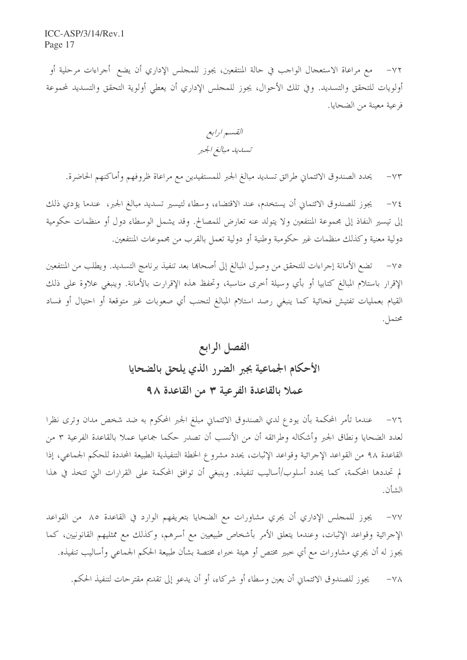٧٢– مع مراعاة الاستعجال الواحب في حالة المنتفعين، يجوز للمحلس الإداري أن يضع أجراءات مرحلية أو أولويات للتحقق والتسديد. وفي تلك الأحوال، يجوز للمحلس الإداري أن يعطي أولوية التحقق والتسديد لمحموعة فرعية معينة من الضحايا.

القسم ارابع تسديد مبالغ الجبر

يحدد الصندوق الائتماني طرائق تسديد مبالغ الجبر للمستفيدين مع مراعاة ظروفهم وأماكنهم الحاضرة.  $-\gamma \tau$ 

يجوز للصندوق الائتماني أن يستخدم، عند الاقتضاء، وسطاء لتيسير تسديد مبالغ الجبر، عندما يؤدي ذلك  $-\vee \xi$ إلى تيسير النفاذ إلى مجموعة المنتفعين ولا يتولد عنه تعارض للمصالح. وقد يشمل الوسطاء دول أو منظمات حكومية دولية معنية وكذلك منظمات غير حكومبة وطنية أو دولية تعمل بالقرب من محموعات المنتفعين.

تضع الأمانة إجراءات للتحقق من وصول المبالغ إلى أصحاها بعد تنفيذ برنامج التسديد. ويطلب من المنتفعين  $-\vee$ الإقرار باستلام المبالغ كتابيا أو بأي وسيلة أخرى مناسبة، وتحفظ هذه الإقرارت بالأمانة. وينبغي علاوة على ذلك القيام بعمليات تفتيش فجائية كما ينبغي رصد استلام المبالغ لتجنب أي صعوبات غير متوقعة أو احتيال أو فساد محتمل.

# الفصل الرابع الأحكام الجماعية بجبر الضرر الذي يلحق بالضحايا عملا بالقاعدة الفرعية ٣ من القاعدة ٩٨

٧٦– عندما تأمر المحكمة بأن يودع لدي الصندوق الائتماني مبلغ الجبر المحكوم به ضد شخص مدان وترى نظرا لعدد الضحايا ونطاق الجبر وأشكاله وطرائقه أن من الأنسب أن تصدر حكما جماعيا عملا بالقاعدة الفرعية ٣ من القاعدة ٩٨ من القواعد الإجرائية وقواعد الإثبات، يحدد مشروع الخطة التنفيذية الطبيعة المحددة للحكم الجماعي، إذا لم تحددها المحكمة، كما يحدد أسلوب/أساليب تنفيذه. وينبغي أن توافق المحكمة على القرارات التي تتخذ في هذا الشأن.

يجوز للمجلس الإداري أن يجري مشاورات مع الضحايا بتعريفهم الوارد في القاعدة ٨٥ من القواعد  $-\vee\vee$ الإجرائية وقواعد الإثبات، وعندما يتعلق الأمر بأشخاص طبيعيين مع أسرهم، وكذلك مع ممثليهم القانونيين، كما يجوز له أن يجري مشاورات مع أي خبير مختص أو هيئة خبراء مختصة بشأن طبيعة الحكم الجماعي وأساليب تنفيذه.

يجوز للصندوق الائتماني أن يعين وسطاء أو شركاء، أو أن يدعو إلى تقديم مقترحات لتنفيذ الحكم.  $-\vee \wedge$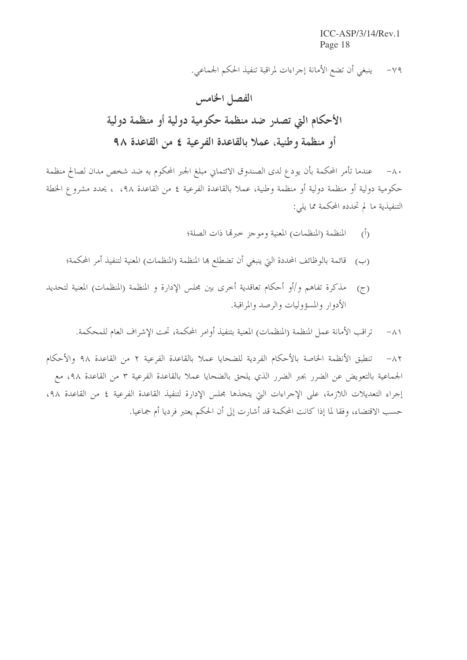$ICC-ASP/3/14/Rev.1$ Page 18

٧٩- ينبغي أن تضع الأمانة إجراءات لمراقبة تنفيذ الحكم الجماعي.

٨٠- عندما تأمر المحكمة بأن يودع لدى الصندوق الائتماني مبلغ الجبر المحكوم به ضد شخص مدان لصالح منظمة حكومية دولية أو منظمة دولية أو منظمة وطنية، عملا بالقاعدة الفرعية ٤ من القاعدة ٩٨، ، يحدد مشروع الخطة التنفيذية ما لم تحدده المحكمة مما يلي:

- المنظمة (المنظمات) المعنية وموجز حبرتما ذات الصلة؛  $(\mathfrak{h})$
- (ب) قائمة بالوظائف المحددة التي ينبغي أن تضطلع ها المنظمة (المنظمات) المعنية لتنفيذ أمر المحكمة؛
- مذكرة تفاهم و/أو أحكام تعاقدية أخرى بين مجلس الإدارة و المنظمة (المنظمات) المعنية لتحديد  $(\tau)$ الأدوار والمسؤوليات والرصد والمراقبة.

تراقب الأمانة عمل المنظمة (المنظمات) المعنية بتنفيذ أوامر المحكمة، تحت الإشراف العام للمحكمة.  $-\wedge$ 

تنطبق الأنظمة الخاصة بالأحكام الفردية للضحايا عملا بالقاعدة الفرعية ٢ من القاعدة ٩٨ والأحكام  $-\lambda$   $\zeta$ الجماعية بالتعويض عن الضرر بجبر الضرر الذي يلحق بالضحايا عملا بالقاعدة الفرعية ٣ من القاعدة ٩٨، مع إجراء التعديلات اللازمة، على الإجراءات التي يتخذها مجلس الإدارة لتنفيذ القاعدة الفرعية ٤ من القاعدة ٩٨، حسب الاقتضاء، وفقا لما إذا كانت المحكمة قد أشارت إلى أن الحكم يعتبر فرديا أم جماعيا.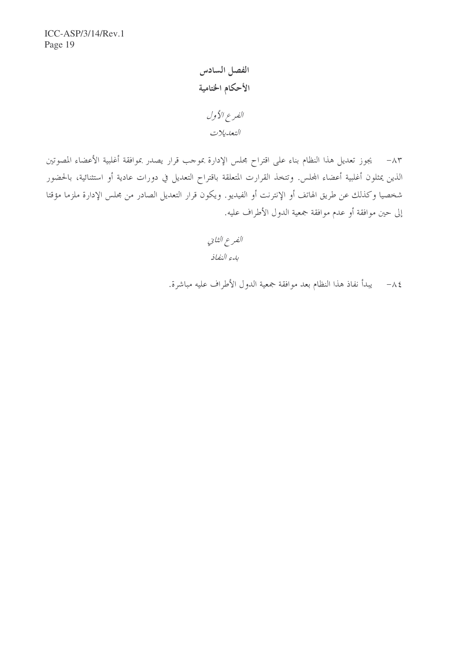ICC-ASP/3/14/Rev.1 Page 19

> الفصل السادس الأحكام الختامية الفرع الأول التعديلات

٨٣ – يجوز تعديل هذا النظام بناء على اقتراح مجلس الإدارة بموحب قرار يصدر بموافقة أغلبية الأعضاء المصوتين الذين يمثلون أغلبية أعضاء المجلس. وتتخذ القرارت المتعلقة باقتراح التعديل في دورات عادية أو استثنائية، بالحضور شخصيا وكذلك عن طريق الهاتف أو الإنترنت أو الفيديو. ويكون قرار التعديل الصادر من مجلس الإدارة ملزما مؤقتا إلى حين موافقة أو عدم موافقة جمعية الدول الأطراف عليه.

> الفرع الثاني بدء النفاذ

٨٤ – يبدأ نفاذ هذا النظام بعد موافقة جمعية الدول الأطراف عليه مباشرة.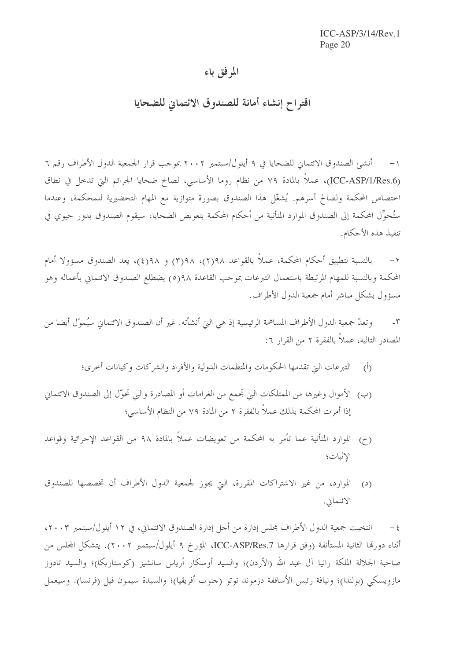### المرفق باء

### اقتراح إنشاء أمانة للصندوق الائتماني للضحايا

١– أنشئ الصندوق الائتماني للضحايا في ٩ أيلول/سبتمبر ٢٠٠٢ بموجب قرار الجمعية الدول الأطراف رقم ٦ (ICC-ASP/1/Res.6)، عملاً بالمادة ٧٩ من نظام روما الأساسي، لصالح ضحايا الجرائم التي تدحل في نطاق احتصاص المحكمة ولصالح أسرهم. يُشغّل هذا الصندوق بصورة متوازية مع المهام التحضيرية للمحكمة، وعندما ستُحوِّل المحكمة إلى الصندوق الموارد المتأتية من أحكام المحكمة بتعويض الضحايا، سيقوم الصندوق بدور حيوي في تنفيذ هذه الأحكام.

بالنسبة لتطبيق أحكام المحكمة، عملاً بالقواعد ٩٨(٢)، ٩٨(٣) و ٩٨(٤)، يعد الصندوق مسؤولا أمام  $-\tau$ المحكمة وبالنسبة للمهام المرتبطة باستعمال التبرعات بموجب القاعدة ٩٨(٥) يضطلع الصندوق الائتماني بأعماله وهو مسؤول بشكل مباشر أمام جمعية الدول الأطراف.

وتعدّ جمعية الدول الأطراف المساهمة الرئيسية إذ هي التي أنشأته. غير أن الصندوق الائتماني سيُموّل أيضا من  $-\tau$ المصادر التالية، عملاً بالفقرة ٢ من القرار ٦:

- التبرعات التي تقدمها الحكومات والمنظمات الدولية والأفراد والشركات وكيانات أحرى؛  $\langle \hat{D} \rangle$
- (ب) الأموال وغيرها من الممتلكات التي تجمع من الغرامات أو المصادرة والتي تحوّل إلى الصندوق الائتماني إذا أمرت المحكمة بذلك عملاً بالفقرة ٢ من المادة ٧٩ من النظام الأساسي؛
- (ج) الموارد المتأتية عما تأمر به المحكمة من تعويضات عملاً بالمادة ٩٨ من القواعد الإجرائية وقواعد الإثبات؛
- الموارد، من غير الاشتراكات المقررة، التي يجوز لجمعية الدول الأطراف أن تخصصها للصندوق  $\mathbf{C}^{(2)}$ الائتماني.

٤ – انتخبت جمعية الدول الأطراف مجلس إدارة من أجل إدارة الصندوق الائتماني، في ١٢ أيلول/سبتمبر ٢٠٠٣، أثناء دورتما الثانية المستأنفة (وفق قرارها ICC-ASP/Res.7، المؤرخ ٩ أيلول/سبتمبر ٢٠٠٢). يتشكل المحلس من صاحبة الجلالة الملكة رانيا آل عبد الله (الأردن)؛ والسيد أوسكار أرياس سانشيز (كوستاريكا)؛ والسيد تادوز مازويسكي (بولندا)؛ ونيافة رئيس الأساقفة دزموند توتو (جنوب أفريقيا)؛ والسيدة سيمون فيل (فرنسا). وسيعمل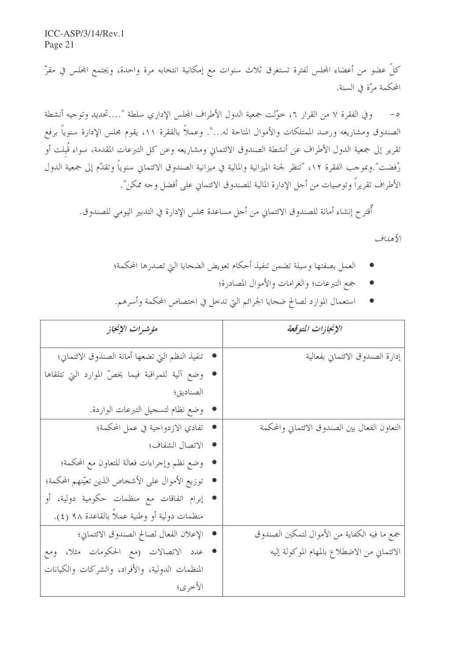كلُّ عضو من أعضاء المحلس لفترة تستغرق ثلاث سنوات مع إمكانية انتخابه مرة واحدة، ويجتمع المحلس في مقرّ المحكمة مرَّة في السنة.

وفي الفقرة ٧ من القرار ٢، حوَّلت جمعية الدول الأطراف الجحلس الإداري سلطة "….تحديد وتوجيه أنشطة  $-\circ$ الصندوق ومشاريعه ورصد الممتلكات والأموال المتاحة له...". وعملاً بالفقرة ٥١١، يقوم مجلس الإدارة سنوياً برفع تقرير إلى جمعية الدول الأطراف عن أنشطة الصندوق الائتماني ومشاريعه وعن كل التبرعات المقدمة، سواء قُبلت أو رُفضت".وبموجب الفقرة ١٢، "تنظر لجنة الميزانية والمالية في ميزانية الصندوق الائتماني سنوياً وتقدّم إلى جمعية الدول الأطراف تقريراً وتوصيات من أجل الإدارة المالية للصندوق الائتماني على أفضل وجه ممكن".

أُقترح إنشاء أمانة للصندوق الائتماني من أحل مساعدة مجلس الإدارة في التدبير اليومي للصندوق.

الأهداف

- العمل بصفتها وسيلة تضمن تنفيذ أحكام تعويض الضحايا التي تصدرها المحكمة؛
	- جمع التبرعات؛ والغرامات والأموال المصادرة؛

|  |  | استعمال الموارد لصالح ضحايا الجرائم التي تدخل في اختصاص المحكمة وأسرهم. |  |
|--|--|-------------------------------------------------------------------------|--|
|--|--|-------------------------------------------------------------------------|--|

| مؤشرات الإنجاز                                    | الإنجازات المتوقعة                            |
|---------------------------------------------------|-----------------------------------------------|
| • تنفيذ النظم التي تضعها أمانة الصندوق الائتماني؛ | إدارة الصندوق الائتماني بفعالية               |
| وضع آلية للمراقبة فيما يخصّ الموارد التي تتلقاها  |                                               |
| الصناديق؛                                         |                                               |
| وضع نظام لتسحيل التبرعات الواردة.                 |                                               |
| تفادي الازدواجية في عمل المحكمة؛                  | التعاون الفعال بين الصندوق الائتماني والمحكمة |
| • الاتصال الشفاف؛                                 |                                               |
| وضع نظم وإجراءات فعالة للتعاون مع المحكمة؛        |                                               |
| توزيع الأموال على الأشخاص الذين تعيّنهم المحكمة؛  |                                               |
| إبرام اتفاقات مع منظمات حكومية دولية، أو          |                                               |
| منظمات دولية أو وطنية عملاً بالقاعدة ٩٨ (٤).      |                                               |
| • الإعلان الفعال لصالح الصندوق الائتماني؛         | جمع ما فيه الكفاية من الأموال لتمكين الصندوق  |
| عدد الاتصالات (مع الحكومات مثلا، ومع              | الائتماني من الاضطلاع بالمهام الموكولة إليه   |
| المنظمات الدولية، والأفراد، والشركات والكيانات    |                                               |
| الأخرى؛                                           |                                               |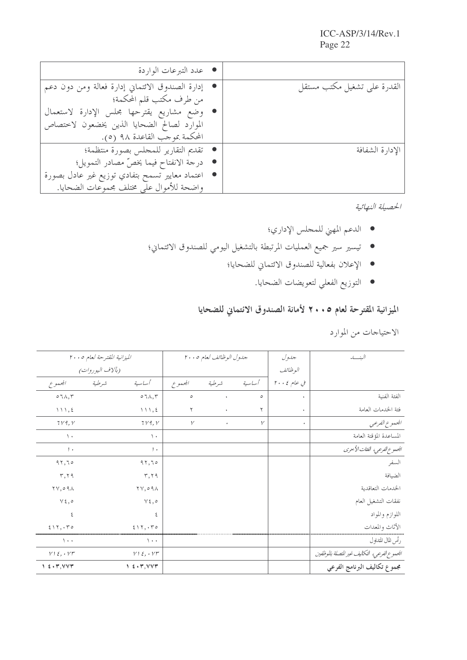| ● عدد التبرعات الواردة                             |                             |
|----------------------------------------------------|-----------------------------|
| • إدارة الصندوق الائتماني إدارة فعالة ومن دون دعم  | القدرة على تشغيل مكتب مستقل |
| من طرف مكتب قلم المحكمة؛                           |                             |
| • وضع مشاريع يقترحها مجلس الإدارة لاستعمال         |                             |
| الموارد لصالح الضحايا الذين يخضعون لاختصاص         |                             |
| المحكمة بموجب القاعدة ٩٨ (٥).                      |                             |
| • تقديم التقارير للمحلس بصورة منتظمة؛              | الإدارة الشفافة             |
| ● درجة الانفتاح فيما يخصّ مصادر التمويل؛           |                             |
| ●   اعتماد معايير تسمح بتفادي توزيع غير عادل بصورة |                             |
| واضحة للأموال على مختلف مجموعات الضحايا.           |                             |

الحصيلة النهائية

- الدعم المهني للمجلس الإداري؛
- تيسير سير جميع العمليات المرتبطة بالتشغيل اليومي للصندوق الائتماني؛
	- الإعلان بفعالية للصندوق الائتماني للضحايا؛
		- التوزيع الفعلي لتعويضات الضحايا.

## الميزانية المقترحة لعام ٢٠٠٥ لأمانة الصندوق الائتماني للضحايا

الاحتياجات من الموارد

|                                         | الميزانية المقترحة لعام ٢٠٠٥        |              | جدول الوظائف لعام ٢٠٠٥ |              | جدول        | الىنسە                                       |
|-----------------------------------------|-------------------------------------|--------------|------------------------|--------------|-------------|----------------------------------------------|
|                                         | ( <i>بآلاف اليوروات)</i>            |              |                        |              | البوظيائف   |                                              |
| المجموع                                 | أساسية<br>شرطية                     | المجموع      | شرطية                  | أساسية       | في عام ٢٠٠٤ |                                              |
| $\circ$ 7 $\wedge$ , $\uparrow$         | $\circ$ 7 $\wedge$ , $\curlyvee$    | $\circ$      | $\bullet$              | $\circ$      | $\bullet$   | الفئة الفنية                                 |
| 111,5                                   |                                     | ٢            | $\bullet$              | ٢            | $\bullet$   | فئة الخدمات العامة                           |
| 719, V                                  | 719, V                              | $\mathcal V$ | $\bullet$              | $\mathcal V$ | $\bullet$   | المحموع الفرعبي                              |
| $\lambda$                               | $\backslash$ .                      |              |                        |              |             | المساعدة المؤقتة العامة                      |
| $, \cdot$                               | 1.1                                 |              |                        |              |             | الجموع الفرعي، الفثات الأحرى                 |
| 97,70                                   | 97,70                               |              |                        |              |             | السفر                                        |
| $\mathbf{r}, \mathbf{r}$                | $\mathbf{r}, \mathbf{r}$            |              |                        |              |             | الضيافة                                      |
| $\gamma \gamma$ , $\circ \gamma \wedge$ | $\gamma \gamma$ , $\circ$ 9 $\land$ |              |                        |              |             | الحدمات التعاقدية                            |
| $v \epsilon, \circ$                     | $v \epsilon, \circ$                 |              |                        |              |             | نفقات التشغيل العام                          |
| ٤                                       | ٤                                   |              |                        |              |             | اللوازم والمواد                              |
| 517, 170                                | 517, 070                            |              |                        |              |             | الأثاث والمعدات                              |
| $\rightarrow$                           | $\lambda$ .                         |              |                        |              |             | رأس المال المتداول                           |
| $V1\xi, V1$                             | $V1\xi, VT$                         |              |                        |              |             | الجموع الفرعي، التكاليف غير التصلة بالموظفين |
| $1 \leq \cdot \tau, VVT$                | 1.5.7, VVT                          |              |                        |              |             | مجموع تكاليف البرنامج الفرعي                 |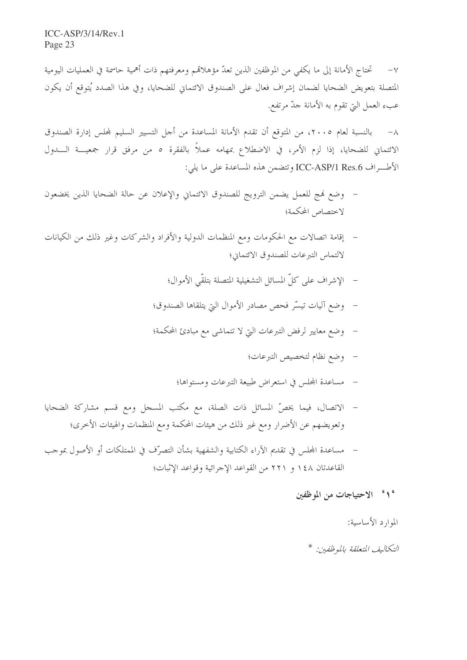$ICC-ASP/3/14/Rev.1$ Page 23

تختاج الأمانة إلى ما يكفى من الموظفين الذين تعدّ مؤهلاقمم ومعرفتهم ذات أهمية حاسمة في العمليات اليومية المتصلة بتعويض الضحايا لضمان إشراف فعال على الصندوق الائتماني للضحايا، وفي هذا الصدد يُتوقع أن يكون عبء العمل التي تقوم به الأمانة جدّ مرتفع.

بالنسبة لعام ٢٠٠٥، من المتوقع أن تقدم الأمانة المساعدة من أجل التسيير السليم لمحلس إدارة الصندوق  $-\lambda$ الائتماني للضحايا، إذا لزم الأمر، في الاضطلاع بمهامه عملاً بالفقرة ٥ من مرفق قرار جمعيـــة الــــدول الأطراف ICC-ASP/1 Res.6 وتتضمن هذه المساعدة على ما يلي:

- وضع فمج للعمل يضمن الترويج للصندوق الائتماني والإعلان عن حالة الضحايا الذين يخضعون لاختصاص المحكمة؛
- إقامة اتصالات مع الحكومات ومع المنظمات الدولية والأفراد والشركات وغير ذلك من الكيانات لالتماس التبرعات للصندوق الائتماني؛
	- الإشراف على كلِّ المسائل التشغيلية المتصلة بتلقَّى الأموال؛
	- وضع آليات تيسّر فحص مصادر الأموال التي يتلقاها الصندوق؛  $\frac{1}{2}$
	- وضع معايير لرفض التبرعات التي لا تتماشى مع مبادئ المحكمة؛
		- وضع نظام لتخصيص التبرعات؛
		- مساعدة المحلس في استعراض طبيعة التبرعات ومستواها؛
- الاتصال، فيما يخصّ المسائل ذات الصلة، مع مكتب المسحل ومع قسم مشاركة الضحايا وتعويضهم عن الأضرار ومع غير ذلك من هيئات المحكمة ومع المنظمات والهيئات الأخرى؛
- مساعدة المجلس في تقديم الآراء الكتابية والشفهية بشأن التصرُّف في الممتلكات أو الأصول بموجب القاعدتان ١٤٨ و ٢٢١ من القواعد الإحرائية وقواعد الإثبات؛

#### ° ۱° الاحتياجات من الموظفين

#### الموارد الأساسية:

#### التكاليف المتعلقة بالموظفين: \*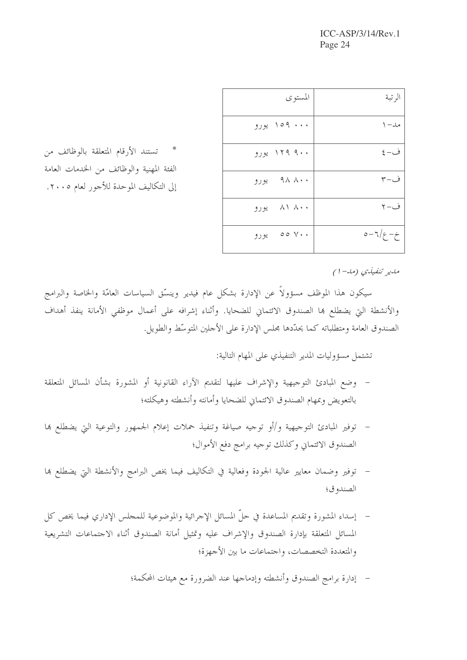$ICC-ASP/3/14/Rev.1$ Page 24

| المستوى      | الر تبة       |
|--------------|---------------|
| ۱۵۹  ورو     | مد– ۱         |
| ۱۲۹ ۹۰۰ یورو | ف- ٤          |
| ۹۸ ۸۰۰ يورو  | ف−۳           |
| ۸۱ ۸۰۰ یورو  | ف–۲           |
| ۷۰۰ ده پورو  | $0 - 7/9 - 2$ |

تستند الأرقام المتعلقة بالوظائف من الفئة المهنية والوظائف من الخدمات العامة إلى التكاليف الموحدة للأجور لعام ٢٠٠٥.

مدير تنفيذي (مد-١)

سيكون هذا الموظف مسؤولاً عن الإدارة بشكل عام فيدير وينسّق السياسات العامّة والخاصة والبرامج والأنشطة التي يضطلع ها الصندوق الائتماني للضحايا. وأثناء إشرافه على أعمال موظفي الأمانة ينفذ أهداف الصندوق العامة ومتطلباته كما يحدّدها مجلس الإدارة على الأجلين المتوسّط والطويل.

تشتمل مسؤوليات المدير التنفيذي على المهام التالية:

- وضع المبادئ التوجيهية والإشراف عليها لتقديم الآراء القانونية أو المشورة بشأن المسائل المتعلقة بالتعويض وبمهام الصندوق الائتماني للضحايا وأمانته وأنشطته وهيكلته؛
- توفير المبادئ التوجيهية و/أو توجيه صياغة وتنفيذ حملات إعلام الجمهور والتوعية التي يضطلع بما الصندوق الائتماني وكذلك توجيه برامج دفع الأموال؛
- توفير وضمان معايير عالية الجودة وفعالية في التكاليف فيما يخص البرامج والأنشطة التي يضطلع بما الصندوق؛
- إسداء المشورة وتقديم المساعدة في حلَّ المسائل الإجرائية والموضوعية للمجلس الإداري فيما يخص كل المسائل المتعلقة بإدارة الصندوق والإشراف عليه وتمثيل أمانة الصندوق أثناء الاحتماعات التشريعية والمتعددة التخصصات، واحتماعات ما بين الأجهزة؛
	- إدارة برامج الصندوق وأنشطته وإدماجها عند الضرورة مع هيئات المحكمة؛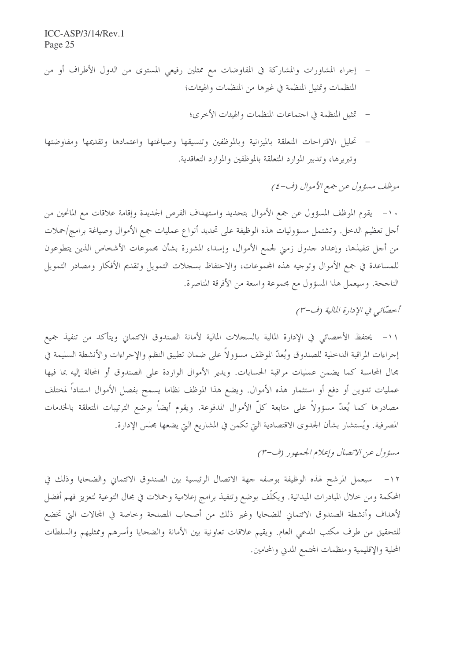- إجراء المشاورات والمشاركة في المفاوضات مع ممثلين رفيعي المستوى من الدول الأطراف أو من المنظمات وتمثيل المنظمة في غيرها من المنظمات والهيئات؛
	- تمثيل المنظمة في اجتماعات المنظمات والهيئات الأخرى؛
- تحليل الاقتراحات المتعلقة بالميزانية وبالموظفين وتنسيقها وصياغتها واعتمادها وتقديمها ومفاوضتها وتبريرها، وتدبير الموارد المتعلقة بالموظفين والموارد التعاقدية.

موظف مسؤول عن جمع الأموال (ف-٤)

١٠– يقوم الموظف المسؤول عن جمع الأموال بتحديد واستهداف الفرص الجديدة وإقامة علاقات مع المانحين من أجل تعظيم الدخل. وتشتمل مسؤوليات هذه الوظيفة على تحديد أنواع عمليات جمع الأموال وصياغة برامج/حملات من أجل تنفيذها، وإعداد جدول زمني لجمع الأموال، وإسداء المشورة بشأن مجموعات الأشخاص الذين يتطوعون للمساعدة في جمع الأموال وتوجيه هذه المحموعات، والاحتفاظ بسجلات التمويل وتقديم الأفكار ومصادر التمويل الناجحة. وسيعمل هذا المسؤول مع مجموعة واسعة من الأفرقة المناصرة.

### أحصَّائي في الإدارة المالية (ف-٣)

١١- يحتفظ الأحصائي في الإدارة المالية بالسحلات المالية لأمانة الصندوق الائتماني ويتأكد من تنفيذ جميع إجراءات المراقبة الداخلية للصندوق ويُعدّ الموظف مسؤولاً على ضمان تطبيق النظم والإجراءات والأنشطة السليمة في مجال المحاسبة كما يضمن عمليات مراقبة الحسابات. ويدير الأموال الواردة على الصندوق أو المحالة إليه بما فيها عمليات تدوين أو دفع أو استثمار هذه الأموال. ويضع هذا الموظف نظاما يسمح بفصل الأموال استناداً لمختلف مصادرها كما يُعدّ مسؤولاً على متابعة كلّ الأموال المدفوعة. ويقوم أيضاً بوضع الترتيبات المتعلقة بالخدمات المصرفية. ويُستشار بشأن الجدوى الاقتصادية التي تكمن في المشاريع التي يضعها مجلس الإدارة.

مسؤول عن الاتصال وإعلام الجمهور (ف-٣)

١٢– سيعمل المرشح لهذه الوظيفة بوصفه جهة الاتصال الرئيسية بين الصندوق الائتماني والضحايا وذلك في المحكمة ومن خلال المبادرات الميدانية. ويكلُّف بوضع وتنفيذ برامج إعلامية وحملات في مجال التوعية لتعزيز فهم أفضل لأهداف وأنشطة الصندوق الائتماني للضحايا وغير ذلك من أصحاب المصلحة وخاصة في المحالات التي تخضع للتحقيق من طرف مكتب المدعى العام. ويقيم علاقات تعاونية بين الأمانة والضحايا وأسرهم وممثليهم والسلطات المحلية والإقليمية ومنظمات المجتمع المدني والمحامين.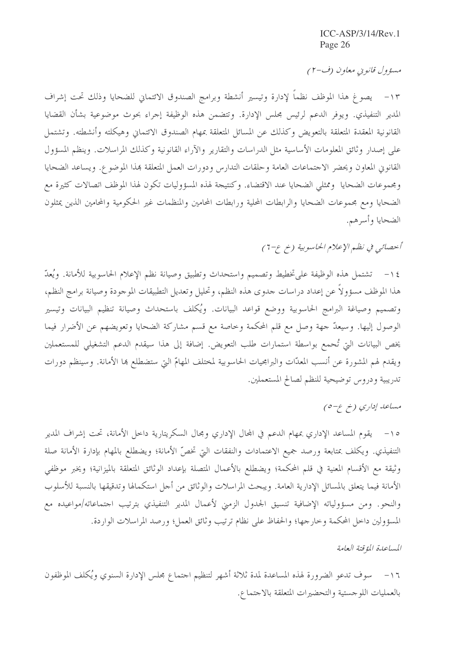مسؤول قانويي معاون (ف-٢)

١٣– يصوغ هذا الموظف نظماً لإدارة وتيسير أنشطة وبرامج الصندوق الائتماني للضحايا وذلك تحت إشراف المدير التنفيذي. ويوفر الدعم لرئيس مجلس الإدارة. وتتضمن هذه الوظيفة إجراء بحوث موضوعية بشأن القضايا القانونية المعقدة المتعلقة بالتعويض وكذلك عن المسائل المتعلقة بمهام الصندوق الائتماني وهيكلته وأنشطته. وتشتمل على إصدار وثائق المعلومات الأساسية مثل الدراسات والتقارير والآراء القانونية وكذلك المراسلات. وينظم المسؤول القانوين المعاون ويحضر الاجتماعات العامة وحلقات التدارس ودورات العمل المتعلقة بمذا الموضوع. ويساعد الضحايا ومجموعات الضحايا وممثلي الضحايا عند الاقتضاء. وكنتيجة لهذه المسؤوليات تكون لهذا الموظف اتصالات كثيرة مع الضحايا ومع مجموعات الضحايا والرابطات المحلية ورابطات المحامين والمنظمات غير الحكومية والمحامين الذين يمثلون الضحايا وأسرهم.

أحصائبي في نظم الإعلام الحاسوبية (خ ع-7)

١٤ – تشتمل هذه الوظيفة على تخطيط وتصميم واستحداث وتطبيق وصيانة نظم الإعلام الحاسوبية للأمانة. ويُعدّ هذا الموظف مسؤولاً عن إعداد دراسات حدوى هذه النظم، وتحليل وتعديل التطبيقات الموجودة وصيانة برامج النظم، وتصميم وصياغة البرامج الحاسوبية ووضع قواعد البيانات. ويُكلف باستحداث وصيانة تنظيم البيانات وتيسير الوصول إليها. وسيعدَّ جهة وصل مع قلم المحكمة وخاصة مع قسم مشاركة الضحايا وتعويضهم عن الأضرار فيما يخص البيانات التي تُحمع بواسطة استمارات طلب التعويض. إضافة إلى هذا سيقدم الدعم التشغيلي للمستعملين ويقدم لهم المشورة عن أنسب المعدّات والبرامجيات الحاسوبية لمختلف المهامّ التي ستضطلع بما الأمانة. وسينظم دورات تدريبية ودروس توضيحية للنظم لصالح المستعملين.

مساعد إداري (خ ع-٥)

١٥– يقوم المساعد الإداري بمهام الدعم في المحال الإداري ومجال السكريتارية داخل الأمانة، تحت إشراف المدير التنفيذي. ويكلف بمتابعة ورصد جميع الاعتمادات والنفقات التي تخصّ الأمانة؛ ويضطلع بالمهام بإدارة الأمانة صلة وثيقة مع الأقسام المعنية في قلم المحكمة؛ ويضطلع بالأعمال المتصلة بإعداد الوثائق المتعلقة بالميزانية؛ ويخبر موظفي الأمانة فيما يتعلق بالمسائل الإدارية العامة. ويبحث المراسلات والوثائق من أحل استكمالها وتدقيقها بالنسبة للأسلوب والنحو. ومن مسؤولياته الإضافية تنسيق الجدول الزمني لأعمال المدير التنفيذي بترتيب احتماعاته/مواعيده مع المسؤولين داخل المحكمة وحارجها؛ والحفاظ على نظام ترتيب وثائق العمل؛ ورصد المراسلات الواردة.

المساعدة المؤقتة العامة

١٦– سوف تدعو الضرورة لهذه المساعدة لمدة ثلاثة أشهر لتنظيم احتماع مجلس الإدارة السنوي ويُكلف الموظفون بالعمليات اللوجستية والتحضيرات المتعلقة بالاجتماع.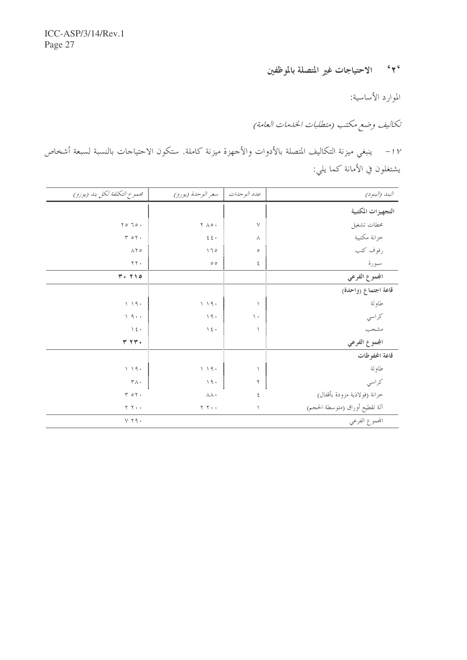٢٠ الاحتياجات غير المتصلة بالموظفين

الموارد الأساسية:

تكاليف وضع مكتب (متطلبات الخدمات العامة)

١٧ – ينبغي ميزنة التكاليف المتصلة بالأدوات والأحهزة ميزنة كاملة. ستكون الاحتياحات بالنسبة لسبعة أشخاص يشتغلون في الأمانة كما يلي:

| البند (البنود)                 |                | عدد الوحدات للمعر الوحدة (يورو)  | محموع التكلفة لكل بند (يورو)        |
|--------------------------------|----------------|----------------------------------|-------------------------------------|
| التجهيزات المكتبية             |                |                                  |                                     |
| محطات تشغيل                    | $\lor$         | $\mathbf{Y} \wedge \mathbf{0}$ . | $\gamma \circ \gamma \circ \cdot$   |
| خزانة مكتبية                   | $\wedge$       | $\xi$<br>$\xi$ .                 | Y O Y                               |
| رفوف كتب                       | $\circ$        | 170                              | $\wedge \Upsilon$                   |
| سبورة                          | ٤              | $\circ$ $\circ$                  | $\Upsilon$ $\Upsilon$ $\Upsilon$    |
| المجموع الفرعي                 |                |                                  | $Y \cdot Y \cap o$                  |
| قاعة اجتماع (واحدة)            |                |                                  |                                     |
| طاولة                          |                | 1.19.                            | 1.19.                               |
| كراسي                          | $\setminus$    | 19.                              | 1.9                                 |
| مشجب                           | $\lambda$      | $\lambda$ 2 +                    | $\rightarrow$ 2 +                   |
| المجموع الفرعي                 |                |                                  | Y Y Y                               |
| قاعة المحفوظات                 |                |                                  |                                     |
| طاولة                          |                | 1.19.                            | $\backslash$ $\backslash$ 9 $\cdot$ |
| كراسي                          | $\mathbf{Y}$ . | $\backslash$ 9 $\cdot$<br>4      | $\mathsf{r}\wedge\cdot$             |
| خزانة (فولاذية مزودة بأقفال)   | ٤              | <b>AA</b> .                      | T O Y                               |
| آلة تقطيع أوراق (متوسطة الحجم) | $\lambda$      | $Y Y \cdot \cdot$                | $Y Y \cdot \cdot$                   |
| الجموع الفرعي                  |                |                                  | $Y$ $Y$ $9$ $\cdot$                 |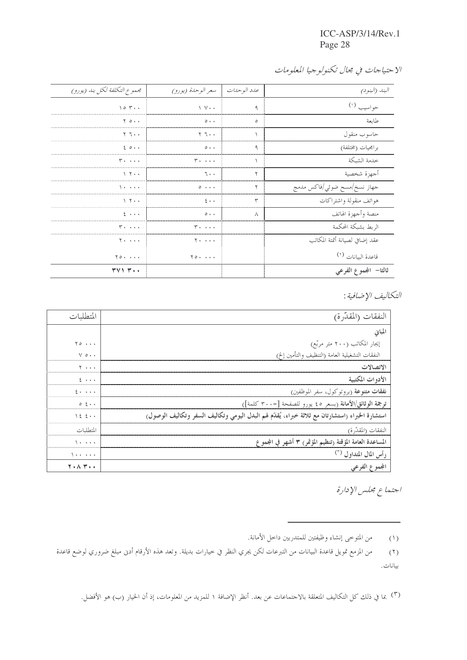ICC-ASP/3/14/Rev.1 Page 28

| مجموع التكلفة لكل بند (يورو)            | عدد الوحدات   سعر الوحدة (يورو)   |         | البند (البنود)                 |
|-----------------------------------------|-----------------------------------|---------|--------------------------------|
| 104                                     | $\vee$ $\vee$ $\cdot$             | ٩       | حواسيب (۱)                     |
| $Y \circ \cdot \cdot$                   | $\circ \cdot \cdot$               | $\circ$ | طاىعة                          |
| ۲ ٦.٠                                   | ۲ ٦٠٠                             |         | حاسوب منقول                    |
| 20.1                                    | $\circ\cdot\cdot$                 |         | برامجيات (مختلفة)              |
| <b>T. </b>                              | $r \ldots$                        |         | خدمة الشبكة                    |
| $\vee$ $\vee$ $\cdot$                   | ٦٠٠                               |         | أجهزة شخصية                    |
| 1.1.1.1                                 | $\circ \cdot \cdot \cdot$         | ۲       | جهاز نسخ/مسح ضوئي/فاكس مدمج    |
| $\lambda$ $\tau$                        | $2 \cdot \cdot$                   | ٣       | هواتف منقولة واشتراكات         |
| $2 \rightarrow \rightarrow \rightarrow$ | $\circ\cdot\cdot$                 | ٨       | منصة وأجهزة الهاتف             |
| <b>T. </b>                              | <b>T. </b>                        |         | الربط بشبكة المحكمة            |
| $Y \cdot \cdot \cdot \cdot$             | $Y \cdot \cdot \cdot \cdot$       |         | عقد إضافي لصيانة أتمتة المكاتب |
| $Y \circ \cdot \cdot \cdot \cdot$       | $Y \circ \cdot \cdot \cdot \cdot$ |         | قاعدة البيانات <sup>(٢)</sup>  |
| <b>TV1 7</b>                            |                                   |         | ثالثا– المجموع الفرعي          |

التكاليف الإضافية :

|                       | لنفقات (المقدّرة)                                                                                 |
|-----------------------|---------------------------------------------------------------------------------------------------|
|                       |                                                                                                   |
| $\gamma \circ \cdots$ | إيجار المكاتب (٢٠٠ متر مربّع)                                                                     |
| $V \circ \cdot \cdot$ | النفقات التشغيلية العامة (التنظيف والتأمين إلخ)                                                   |
| $\cdots$              |                                                                                                   |
| $\cdots$              |                                                                                                   |
| $2 + 1 + 1$           | <b>نفقات متنوعة</b> (بروتوكول، سفر الموظفين)                                                      |
| $0 \leq \cdots$       | ترجمة الوثائق/الأمانة (بسعر ٤٥ يورو للصفحة [=٣٠٠ كلمة])                                           |
| 122                   | استشارة الخبراء (استشارتان مع ثلاثة خبراء، يُقلُّم لهم البدل اليومي وتكاليف السفر وتكاليف الوصول) |
|                       | لنفقات (المقدرة)                                                                                  |
| $\cdots$              | باعدة العامة المؤقتة رتنظيم المؤتمر ٣ أشهر في المجموع                                             |
| .                     | <u>اس الم</u> ال المتداول <sup>(۳)</sup>                                                          |
| <b>T.AT</b>           | الفرعي                                                                                            |

اجتماع مجلس الإدارة

(١) من المتوحى إنشاء وظيفتين للمتدربين داحل الأمانة.

من المزمع تمويل قاعدة البيانات من التبرعات لكن يجري النظر في حيارات بديلة. وتعد هذه الأرقام أدىن مبلغ ضروري لوضع قاعدة  $(\mathcal{F})$ بيانات.

(٣) بما في ذلك كل التكاليف المتعلقة بالاجتماعات عن بعد. أنظر الإضافة ١ للمزيد من المعلومات، إذ أن الخيار (ب) هو الأفضل.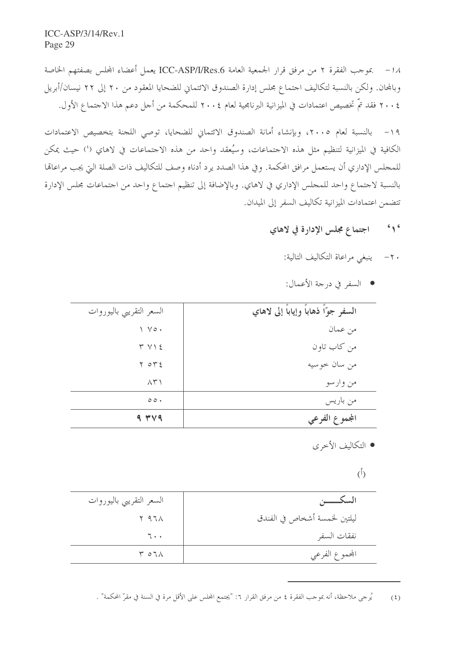1⁄4 − بموجب الفقرة ٢ من مرفق قرار الجمعية العامة ICC-ASP/I/Res.6 يعمل أعضاء المجلس بصفتهم الخاصة وبالمحان. ولكن بالنسبة لتكاليف احتماع مجلس إدارة الصندوق الائتماني للضحايا المعقود من ٢٠ إلى ٢٢ نيسان/أبريل ٢٠٠٤ فقد تمَّ تخصيص اعتمادات في الميزانية البرنامجية لعام ٢٠٠٤ للمحكمة من أجل دعم هذا الاجتماع الأول.

١٩ – بالنسبة لعام ٢٠٠٥، وبإنشاء أمانة الصندوق الائتماني للضحايا، توصى اللجنة بتخصيص الاعتمادات الكافية في الميزانية لتنظيم مثل هذه الاجتماعات، وسُيعقد واحد من هذه الاجتماعات في لاهاي (') حيث يمكن للمجلس الإداري أن يستعمل مرافق المحكمة. وفي هذا الصدد يرد أدناه وصف للتكاليف ذات الصلة التي يجب مراعاتما بالنسبة لاجتماع واحد للمجلس الإداري في لاهاي. وبالإضافة إلى تنظيم اجتماع واحد من اجتماعات مجلس الإدارة تتضمن اعتمادات الميزانية تكاليف السفر إلى الميدان.

#### اجتماع مجلس الإدارة في لاهاي  $6 \sqrt{6}$

- ٢٠ ينبغي مراعاة التكاليف التالية:
- السفر في درجة الأعمال:

|                                          | من كاب تاون<br>$Y V \leq$<br>من سان حو سيه<br>$Y \circ Y$ | $\wedge$ $\uparrow$ $\wedge$ | من وارسو                             |
|------------------------------------------|-----------------------------------------------------------|------------------------------|--------------------------------------|
|                                          |                                                           | $\circ \circ \cdot$          | من باريس                             |
|                                          |                                                           |                              |                                      |
|                                          |                                                           |                              |                                      |
| من عمان<br>$\vee$ $\vee$ $\circ$ $\cdot$ |                                                           | السعر التقريبي باليوروات     | السفر جوّاً ذهاباً وإياباً إلى لاهاي |

### • التكاليف الأخرى

### $\binom{5}{ }$

|                              | السعر التقريبي باليوروات |
|------------------------------|--------------------------|
| ليلتين لخمسة أشخاص في الفندق | $Y$ 97 $\Lambda$         |
| نفقات السفر                  | $7 \cdot \cdot$          |
| المجموع الفرعي               | $\tau$ or $\Lambda$      |

يُرجى ملاحظة، أنه بموجب الفقرة ٤ من مرفق القرار ٦: "يجتمع المجلس على الأقل مرة في السنة في مقرّ المحكمة" .  $(5)$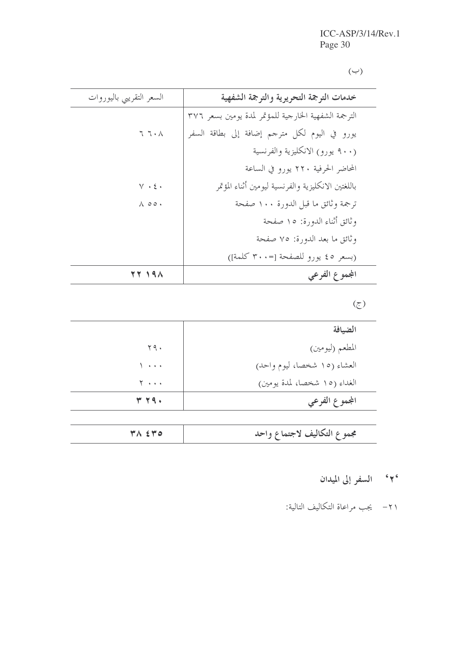$(\hookrightarrow)$ 

| السعر التقريبي باليوروات | خدمات الترجمة التحريرية والترجمة الشفهية             |
|--------------------------|------------------------------------------------------|
|                          | الترجمة الشفهية الخارجية للمؤتمر لمدة يومين بسعر ٣٧٦ |
| 7.7.1                    | يورو في اليوم لكل مترجم إضافة إلى بطاقة السفر        |
|                          | (٩٠٠ يورو) الانكليزية والفرنسية                      |
|                          | المحاضر الحرفية ٢٢٠ يورو في الساعة                   |
| $\vee\,\cdot\,\xi$ .     | باللغتين الانكليزية والفرنسية ليومين أثناء المؤتمر   |
| $\wedge$ 00.             | ترجمة وثائق ما قبل الدورة ١٠٠ صفحة                   |
|                          | وثائق أثناء الدورة: ١٥ صفحة                          |
|                          | وثائق ما بعد الدورة: ٧٥ صفحة                         |
|                          | (بسعر ٤٥ يورو للصفحة [-٣٠٠ كلمة])                    |
| 77191                    | المجموع الفرعي                                       |

## $\circled{z}$

| الضيافة                      |                        |
|------------------------------|------------------------|
| المطعم (ليومين)              | 79.                    |
| العشاء (١٥ شخصا، ليوم واحد)  | $\sqrt{2}$             |
| الغداء (١٥ شخصا، لمدة يومين) | $Y \rightarrow \cdots$ |
| المجموع الفرعي               | <b>٣79.</b>            |

## ۲<sup>۰</sup> السفر إلى الميدان

٢١- يجب مراعاة التكاليف التالية: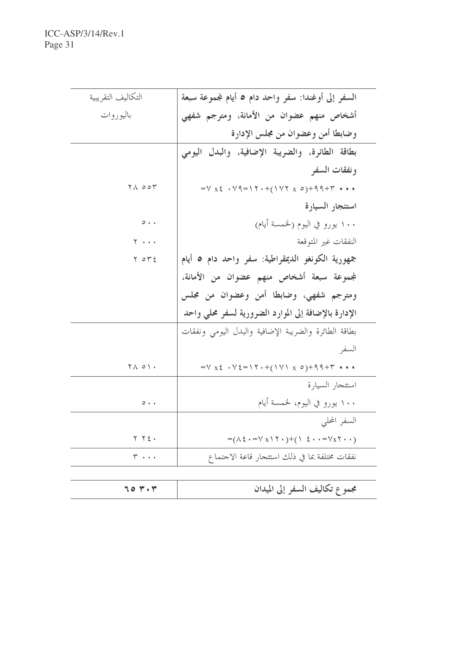| التكاليف التقريبية                               | السفر إلى أوغندا: سفر واحد دام ٥ أيام لمجموعة سبعة                                                      |
|--------------------------------------------------|---------------------------------------------------------------------------------------------------------|
| باليوروات                                        | أشخاص منهم عضوان من الأمانة، ومترجم شفهي                                                                |
|                                                  | وضابطا أمن وعضوان من مجلس الإدارة                                                                       |
|                                                  | بطاقة الطائرة، والضريبة الإضافية، والبدل اليومي                                                         |
|                                                  | ونفقات السفر                                                                                            |
| $\forall \Lambda$ $\circ \circ \forall$          | $=V X \xi \cdot V$ 9 = 1 $\Upsilon \cdot + (1 V Y X \circ ) + 99 + \Upsilon \cdot * \cdot$              |
|                                                  | استئجار السيارة                                                                                         |
| $\circ \cdot \cdot$                              | ۱۰۰ يورو في اليوم (لخمسة أيام)                                                                          |
| $Y \cdot \cdot \cdot$                            | النفقات غير المتوقعة                                                                                    |
| $Y \circ Y \xi$                                  | جمهورية الكونغو الديمقراطية: سفر واحد دام ٥ أيام                                                        |
|                                                  | لمجموعة سبعة أشخاص منهم عضوان من الأمانة،                                                               |
|                                                  | ومترجم شفهي، وضابطا أمن وعضوان من مجلس                                                                  |
|                                                  | الإدارة بالإضافة إلى الموارد الضرورية لسفر محلي واحد                                                    |
|                                                  | بطاقة الطائرة والضريبة الإضافية والبدل اليومي ونفقات                                                    |
|                                                  | السفر                                                                                                   |
| $\mathbf{Y} \wedge \mathbf{0} \wedge \mathbf{.}$ | $=V x \xi + V \xi = \Upsilon + (\Upsilon V) x o + 99 + \Upsilon + \cdot \cdot$                          |
|                                                  | استئجار السيارة                                                                                         |
| $\circ\cdot\cdot$                                | ۱۰۰ يورو في اليوم، لخمسة أيام                                                                           |
|                                                  | السفر المحلبي                                                                                           |
| $Y$ $Y$ $\epsilon$ .                             | $=(\wedge \xi \cdot = \vee x \wedge \zeta \cdot )+(\wedge \xi \cdot \cdot = \vee x \zeta \cdot \cdot )$ |
| $\mathbf{r}$                                     | نفقات مختلفة بما في ذلك استئجار قاعة الاجتماع                                                           |
|                                                  |                                                                                                         |
| 704.7                                            | مجموع تكاليف السفر إلى الميدان                                                                          |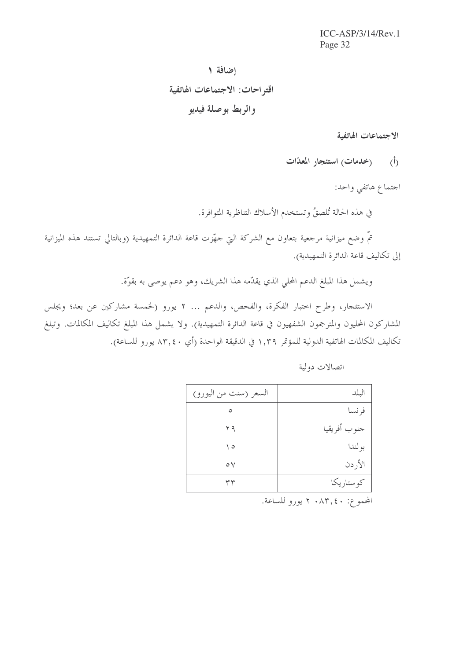$ICC-ASP/3/14/Rev.1$ Page 32

# إضافة ١ اقتراحات: الاجتماعات الهاتفية والربط بوصلة فيديو

الاجتماعات الهاتفية

(أ) (خدمات<sub>)</sub> استئجار المعدّات

احتماع هاتفي واحد:

في هذه الحالة تُلصقُ وتستخدم الأسلاك التناظرية المتوافرة.

تمَّ وضع ميزانية مرجعية بتعاون مع الشركة التي حهّزت قاعة الدائرة التمهيدية (وبالتالي تستند هذه الميزانية إلى تكاليف قاعة الدائرة التمهيدية).

ويشمل هذا المبلغ الدعم المحلي الذي يقدَّمه هذا الشريك، وهو دعم يوصى به بقوَّة.

الاستئجار، وطرح اختبار الفكرة، والفحص، والدعم ... ٢ يورو (لخمسة مشاركين عن بعد؛ ويجلس المشاركون المحليون والمترجمون الشفهيون في قاعة الدائرة التمهيدية). ولا يشمل هذا المبلغ تكاليف المكالمات. وتبلغ تكاليف المكالمات الهاتفية الدولية للمؤتمر ١,٣٩ في الدقيقة الواحدة (أي ٨٣,٤٠ يورو للساعة).

| السعر (سنت من اليورو) | البلد        |
|-----------------------|--------------|
| ٥                     | فر نسا       |
| ۲۹                    | جنوب أفريقيا |
| ه ۱                   | بو لندا      |
| $\circ \vee$          | الأردن       |
| ۳۳                    | کو ستاریکا   |

اتصالات دولية

المجموع: ٢ ٠٨٣,٤٠ يورو للساعة.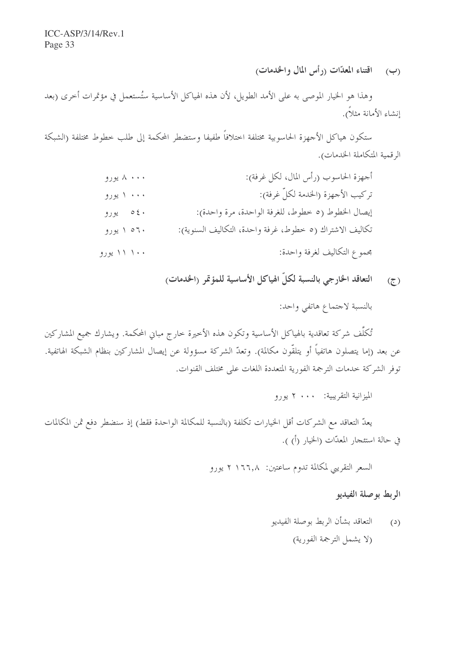اقتناء المعدّات (رأس المال والخدمات)  $(\hookrightarrow)$ 

وهذا هو الخيار الموصى به على الأمد الطويل، لأن هذه الهياكل الأساسية ستُستعمل في مؤتمرات أخرى (بعد إنشاء الأمانة مثلاً).

ستكون هياكل الأجهزة الحاسوبية مختلفة اختلافاً طفيفا وستضطر المحكمة إلى طلب خطوط مختلفة (الشبكة الرقمية المتكاملة الخدمات).

| ۸ ۰۰۰ يورو | أجهزة الحاسوب (رأس المال، لكل غرفة):                    |
|------------|---------------------------------------------------------|
| ۰۰۰ ۱ يورو | تركيب الأجهزة (الخدمة لكلّ غرفة):                       |
| ۵٤۰ يورو   | إيصال الخطوط (٥ خطوط، للغرفة الواحدة، مرة واحدة):       |
| ۲۰ ۱ پورو  | تكاليف الاشتراك (٥ خطوط، غرفة واحدة، التكاليف السنوية): |
| ۱۱۱۰۰ یورو | مجموع التكاليف لغرفة واحدة:                             |

التعاقد الخارجي بالنسبة لكلّ الهياكل الأساسية للمؤتمر (الخدمات)  $(5)$ 

بالنسبة لاحتماع هاتفي واحد:

تُكلُّف شركة تعاقدية بالهياكل الأساسية وتكون هذه الأخيرة خارج مباني المحكمة. ويشارك جميع المشاركين عن بعد (إما يتصلون هاتفياً أو يتلقّون مكالمة). وتعدّ الشركة مسؤولة عن إيصال المشاركين بنظام الشبكة الهاتفية. توفر الشركة خدمات الترجمة الفورية المتعددة اللغات على مختلف القنوات.

الميزانية التقريبية: ٢٠٠٠ يورو

يعدُّ التعاقد مع الشركات أقل الخيارات تكلفة (بالنسبة للمكالمة الواحدة فقط) إذ سنضطر دفع ثمن المكالمات في حالة استئجار المعدّات (الخيار (أ) ).

السعر التقريبي لمكالمة تدوم ساعتين: ٢ ١٦٦,٨ يورو

الربط بوصلة الفيديو

التعاقد بشأن الربط بوصلة الفيديو  $\left( \omega \right)$ (لا يشمل الترجمة الفورية)